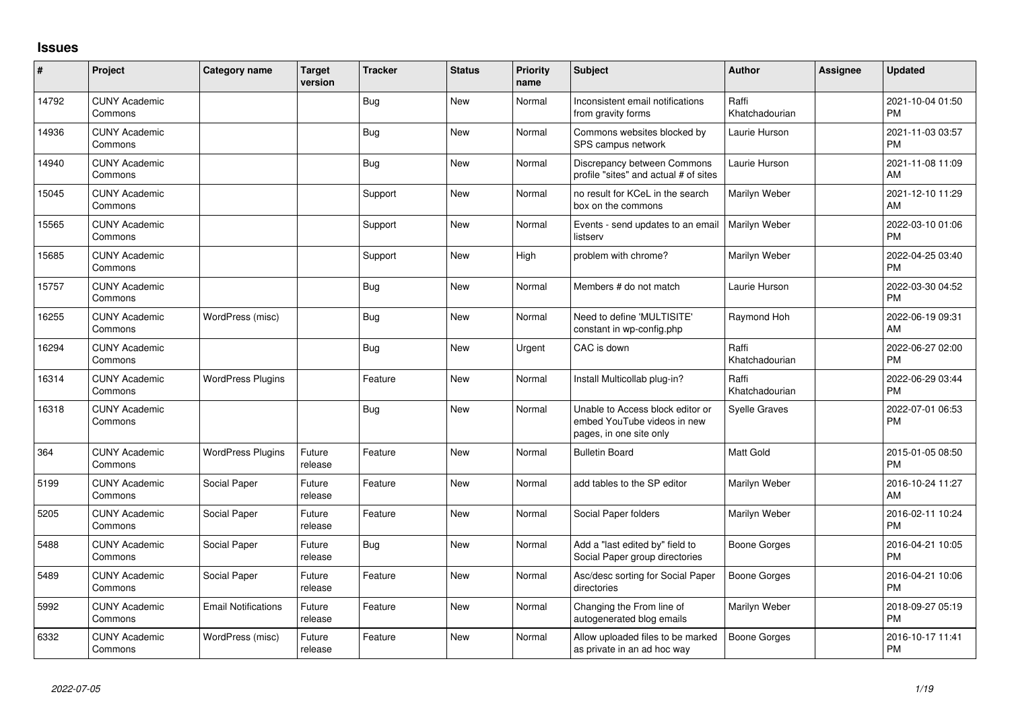## **Issues**

| $\sharp$ | Project                         | <b>Category name</b>       | <b>Target</b><br>version | <b>Tracker</b> | <b>Status</b> | <b>Priority</b><br>name | <b>Subject</b>                                                                             | <b>Author</b>           | Assignee | <b>Updated</b>                |
|----------|---------------------------------|----------------------------|--------------------------|----------------|---------------|-------------------------|--------------------------------------------------------------------------------------------|-------------------------|----------|-------------------------------|
| 14792    | <b>CUNY Academic</b><br>Commons |                            |                          | <b>Bug</b>     | <b>New</b>    | Normal                  | Inconsistent email notifications<br>from gravity forms                                     | Raffi<br>Khatchadourian |          | 2021-10-04 01:50<br><b>PM</b> |
| 14936    | <b>CUNY Academic</b><br>Commons |                            |                          | Bug            | New           | Normal                  | Commons websites blocked by<br>SPS campus network                                          | Laurie Hurson           |          | 2021-11-03 03:57<br><b>PM</b> |
| 14940    | <b>CUNY Academic</b><br>Commons |                            |                          | Bug            | New           | Normal                  | Discrepancy between Commons<br>profile "sites" and actual # of sites                       | Laurie Hurson           |          | 2021-11-08 11:09<br>AM        |
| 15045    | <b>CUNY Academic</b><br>Commons |                            |                          | Support        | New           | Normal                  | no result for KCeL in the search<br>box on the commons                                     | Marilyn Weber           |          | 2021-12-10 11:29<br>AM        |
| 15565    | <b>CUNY Academic</b><br>Commons |                            |                          | Support        | <b>New</b>    | Normal                  | Events - send updates to an email<br>listserv                                              | Marilyn Weber           |          | 2022-03-10 01:06<br><b>PM</b> |
| 15685    | <b>CUNY Academic</b><br>Commons |                            |                          | Support        | New           | High                    | problem with chrome?                                                                       | Marilyn Weber           |          | 2022-04-25 03:40<br><b>PM</b> |
| 15757    | <b>CUNY Academic</b><br>Commons |                            |                          | Bug            | <b>New</b>    | Normal                  | Members # do not match                                                                     | Laurie Hurson           |          | 2022-03-30 04:52<br><b>PM</b> |
| 16255    | <b>CUNY Academic</b><br>Commons | WordPress (misc)           |                          | Bug            | New           | Normal                  | Need to define 'MULTISITE'<br>constant in wp-config.php                                    | Raymond Hoh             |          | 2022-06-19 09:31<br>AM        |
| 16294    | <b>CUNY Academic</b><br>Commons |                            |                          | Bug            | New           | Urgent                  | CAC is down                                                                                | Raffi<br>Khatchadourian |          | 2022-06-27 02:00<br><b>PM</b> |
| 16314    | <b>CUNY Academic</b><br>Commons | <b>WordPress Plugins</b>   |                          | Feature        | New           | Normal                  | Install Multicollab plug-in?                                                               | Raffi<br>Khatchadourian |          | 2022-06-29 03:44<br><b>PM</b> |
| 16318    | <b>CUNY Academic</b><br>Commons |                            |                          | Bug            | <b>New</b>    | Normal                  | Unable to Access block editor or<br>embed YouTube videos in new<br>pages, in one site only | <b>Syelle Graves</b>    |          | 2022-07-01 06:53<br><b>PM</b> |
| 364      | <b>CUNY Academic</b><br>Commons | <b>WordPress Plugins</b>   | Future<br>release        | Feature        | New           | Normal                  | <b>Bulletin Board</b>                                                                      | <b>Matt Gold</b>        |          | 2015-01-05 08:50<br><b>PM</b> |
| 5199     | <b>CUNY Academic</b><br>Commons | Social Paper               | Future<br>release        | Feature        | New           | Normal                  | add tables to the SP editor                                                                | Marilyn Weber           |          | 2016-10-24 11:27<br>AM        |
| 5205     | <b>CUNY Academic</b><br>Commons | Social Paper               | Future<br>release        | Feature        | New           | Normal                  | Social Paper folders                                                                       | Marilyn Weber           |          | 2016-02-11 10:24<br><b>PM</b> |
| 5488     | <b>CUNY Academic</b><br>Commons | Social Paper               | Future<br>release        | Bug            | New           | Normal                  | Add a "last edited by" field to<br>Social Paper group directories                          | Boone Gorges            |          | 2016-04-21 10:05<br><b>PM</b> |
| 5489     | <b>CUNY Academic</b><br>Commons | Social Paper               | Future<br>release        | Feature        | New           | Normal                  | Asc/desc sorting for Social Paper<br>directories                                           | Boone Gorges            |          | 2016-04-21 10:06<br><b>PM</b> |
| 5992     | <b>CUNY Academic</b><br>Commons | <b>Email Notifications</b> | Future<br>release        | Feature        | New           | Normal                  | Changing the From line of<br>autogenerated blog emails                                     | Marilyn Weber           |          | 2018-09-27 05:19<br><b>PM</b> |
| 6332     | <b>CUNY Academic</b><br>Commons | WordPress (misc)           | Future<br>release        | Feature        | <b>New</b>    | Normal                  | Allow uploaded files to be marked<br>as private in an ad hoc way                           | Boone Gorges            |          | 2016-10-17 11:41<br>PM        |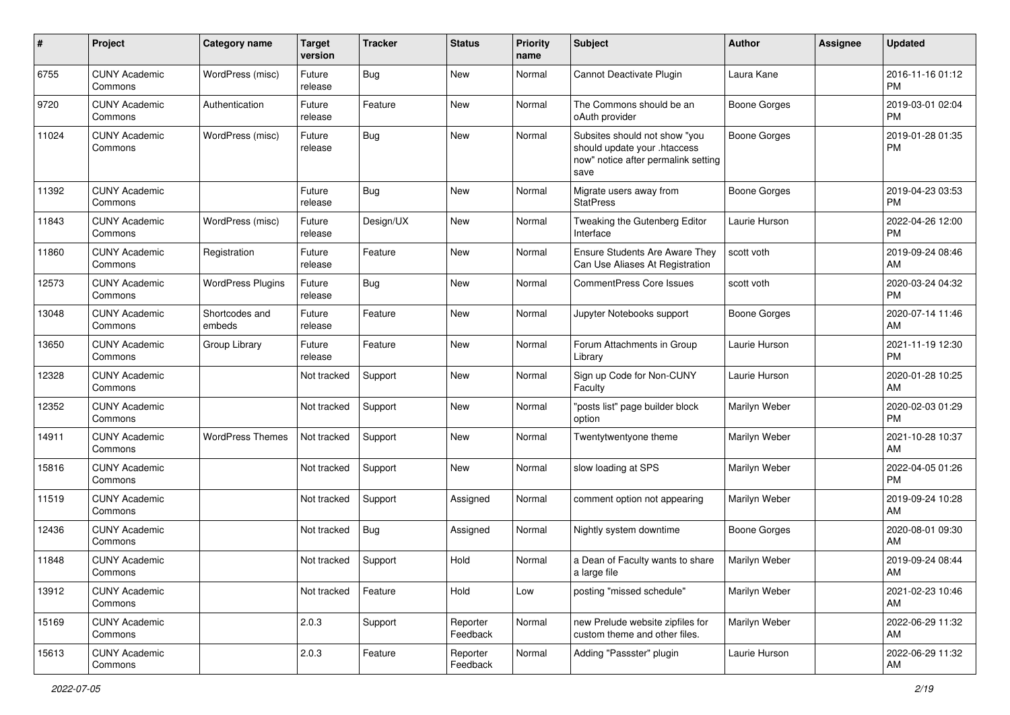| #     | Project                         | Category name            | <b>Target</b><br>version | <b>Tracker</b> | <b>Status</b>        | <b>Priority</b><br>name | Subject                                                                                                      | Author              | Assignee | <b>Updated</b>                |
|-------|---------------------------------|--------------------------|--------------------------|----------------|----------------------|-------------------------|--------------------------------------------------------------------------------------------------------------|---------------------|----------|-------------------------------|
| 6755  | <b>CUNY Academic</b><br>Commons | WordPress (misc)         | Future<br>release        | Bug            | <b>New</b>           | Normal                  | Cannot Deactivate Plugin                                                                                     | Laura Kane          |          | 2016-11-16 01:12<br><b>PM</b> |
| 9720  | <b>CUNY Academic</b><br>Commons | Authentication           | Future<br>release        | Feature        | New                  | Normal                  | The Commons should be an<br>oAuth provider                                                                   | <b>Boone Gorges</b> |          | 2019-03-01 02:04<br><b>PM</b> |
| 11024 | <b>CUNY Academic</b><br>Commons | WordPress (misc)         | Future<br>release        | Bug            | <b>New</b>           | Normal                  | Subsites should not show "you<br>should update your .htaccess<br>now" notice after permalink setting<br>save | <b>Boone Gorges</b> |          | 2019-01-28 01:35<br><b>PM</b> |
| 11392 | <b>CUNY Academic</b><br>Commons |                          | Future<br>release        | Bug            | New                  | Normal                  | Migrate users away from<br><b>StatPress</b>                                                                  | <b>Boone Gorges</b> |          | 2019-04-23 03:53<br><b>PM</b> |
| 11843 | <b>CUNY Academic</b><br>Commons | WordPress (misc)         | Future<br>release        | Design/UX      | <b>New</b>           | Normal                  | Tweaking the Gutenberg Editor<br>Interface                                                                   | Laurie Hurson       |          | 2022-04-26 12:00<br><b>PM</b> |
| 11860 | <b>CUNY Academic</b><br>Commons | Registration             | Future<br>release        | Feature        | New                  | Normal                  | Ensure Students Are Aware They<br>Can Use Aliases At Registration                                            | scott voth          |          | 2019-09-24 08:46<br>AM        |
| 12573 | <b>CUNY Academic</b><br>Commons | <b>WordPress Plugins</b> | Future<br>release        | Bug            | New                  | Normal                  | <b>CommentPress Core Issues</b>                                                                              | scott voth          |          | 2020-03-24 04:32<br><b>PM</b> |
| 13048 | <b>CUNY Academic</b><br>Commons | Shortcodes and<br>embeds | Future<br>release        | Feature        | New                  | Normal                  | Jupyter Notebooks support                                                                                    | Boone Gorges        |          | 2020-07-14 11:46<br>AM        |
| 13650 | <b>CUNY Academic</b><br>Commons | Group Library            | Future<br>release        | Feature        | New                  | Normal                  | Forum Attachments in Group<br>Library                                                                        | Laurie Hurson       |          | 2021-11-19 12:30<br><b>PM</b> |
| 12328 | <b>CUNY Academic</b><br>Commons |                          | Not tracked              | Support        | New                  | Normal                  | Sign up Code for Non-CUNY<br>Faculty                                                                         | Laurie Hurson       |          | 2020-01-28 10:25<br>AM        |
| 12352 | <b>CUNY Academic</b><br>Commons |                          | Not tracked              | Support        | New                  | Normal                  | "posts list" page builder block<br>option                                                                    | Marilyn Weber       |          | 2020-02-03 01:29<br><b>PM</b> |
| 14911 | <b>CUNY Academic</b><br>Commons | <b>WordPress Themes</b>  | Not tracked              | Support        | New                  | Normal                  | Twentytwentyone theme                                                                                        | Marilyn Weber       |          | 2021-10-28 10:37<br>AM        |
| 15816 | <b>CUNY Academic</b><br>Commons |                          | Not tracked              | Support        | <b>New</b>           | Normal                  | slow loading at SPS                                                                                          | Marilyn Weber       |          | 2022-04-05 01:26<br><b>PM</b> |
| 11519 | <b>CUNY Academic</b><br>Commons |                          | Not tracked              | Support        | Assigned             | Normal                  | comment option not appearing                                                                                 | Marilyn Weber       |          | 2019-09-24 10:28<br>AM        |
| 12436 | <b>CUNY Academic</b><br>Commons |                          | Not tracked              | Bug            | Assigned             | Normal                  | Nightly system downtime                                                                                      | <b>Boone Gorges</b> |          | 2020-08-01 09:30<br>AM        |
| 11848 | <b>CUNY Academic</b><br>Commons |                          | Not tracked              | Support        | Hold                 | Normal                  | a Dean of Faculty wants to share<br>a large file                                                             | Marilyn Weber       |          | 2019-09-24 08:44<br>AM        |
| 13912 | <b>CUNY Academic</b><br>Commons |                          | Not tracked              | Feature        | Hold                 | Low                     | posting "missed schedule"                                                                                    | Marilyn Weber       |          | 2021-02-23 10:46<br>AM        |
| 15169 | <b>CUNY Academic</b><br>Commons |                          | 2.0.3                    | Support        | Reporter<br>Feedback | Normal                  | new Prelude website zipfiles for<br>custom theme and other files.                                            | Marilyn Weber       |          | 2022-06-29 11:32<br>AM        |
| 15613 | <b>CUNY Academic</b><br>Commons |                          | 2.0.3                    | Feature        | Reporter<br>Feedback | Normal                  | Adding "Passster" plugin                                                                                     | Laurie Hurson       |          | 2022-06-29 11:32<br>AM        |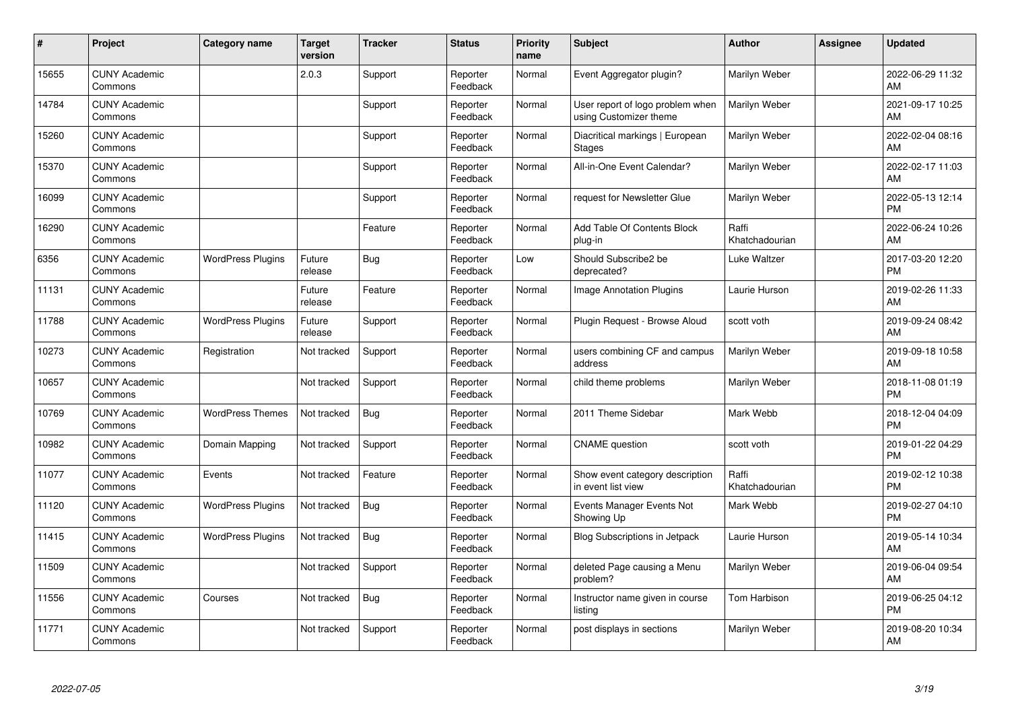| #     | Project                         | <b>Category name</b>     | <b>Target</b><br>version | <b>Tracker</b> | <b>Status</b>        | <b>Priority</b><br>name | <b>Subject</b>                                             | <b>Author</b>           | Assignee | <b>Updated</b>                |
|-------|---------------------------------|--------------------------|--------------------------|----------------|----------------------|-------------------------|------------------------------------------------------------|-------------------------|----------|-------------------------------|
| 15655 | <b>CUNY Academic</b><br>Commons |                          | 2.0.3                    | Support        | Reporter<br>Feedback | Normal                  | Event Aggregator plugin?                                   | Marilyn Weber           |          | 2022-06-29 11:32<br>AM        |
| 14784 | <b>CUNY Academic</b><br>Commons |                          |                          | Support        | Reporter<br>Feedback | Normal                  | User report of logo problem when<br>using Customizer theme | Marilyn Weber           |          | 2021-09-17 10:25<br>AM        |
| 15260 | <b>CUNY Academic</b><br>Commons |                          |                          | Support        | Reporter<br>Feedback | Normal                  | Diacritical markings   European<br><b>Stages</b>           | Marilyn Weber           |          | 2022-02-04 08:16<br>AM        |
| 15370 | <b>CUNY Academic</b><br>Commons |                          |                          | Support        | Reporter<br>Feedback | Normal                  | All-in-One Event Calendar?                                 | Marilyn Weber           |          | 2022-02-17 11:03<br>AM        |
| 16099 | <b>CUNY Academic</b><br>Commons |                          |                          | Support        | Reporter<br>Feedback | Normal                  | request for Newsletter Glue                                | Marilyn Weber           |          | 2022-05-13 12:14<br><b>PM</b> |
| 16290 | <b>CUNY Academic</b><br>Commons |                          |                          | Feature        | Reporter<br>Feedback | Normal                  | Add Table Of Contents Block<br>plug-in                     | Raffi<br>Khatchadourian |          | 2022-06-24 10:26<br>AM        |
| 6356  | <b>CUNY Academic</b><br>Commons | <b>WordPress Plugins</b> | Future<br>release        | <b>Bug</b>     | Reporter<br>Feedback | Low                     | Should Subscribe2 be<br>deprecated?                        | Luke Waltzer            |          | 2017-03-20 12:20<br><b>PM</b> |
| 11131 | <b>CUNY Academic</b><br>Commons |                          | Future<br>release        | Feature        | Reporter<br>Feedback | Normal                  | Image Annotation Plugins                                   | Laurie Hurson           |          | 2019-02-26 11:33<br>AM        |
| 11788 | <b>CUNY Academic</b><br>Commons | <b>WordPress Plugins</b> | Future<br>release        | Support        | Reporter<br>Feedback | Normal                  | Plugin Request - Browse Aloud                              | scott voth              |          | 2019-09-24 08:42<br>AM        |
| 10273 | <b>CUNY Academic</b><br>Commons | Registration             | Not tracked              | Support        | Reporter<br>Feedback | Normal                  | users combining CF and campus<br>address                   | Marilyn Weber           |          | 2019-09-18 10:58<br>AM        |
| 10657 | <b>CUNY Academic</b><br>Commons |                          | Not tracked              | Support        | Reporter<br>Feedback | Normal                  | child theme problems                                       | Marilyn Weber           |          | 2018-11-08 01:19<br><b>PM</b> |
| 10769 | <b>CUNY Academic</b><br>Commons | <b>WordPress Themes</b>  | Not tracked              | Bug            | Reporter<br>Feedback | Normal                  | 2011 Theme Sidebar                                         | Mark Webb               |          | 2018-12-04 04:09<br><b>PM</b> |
| 10982 | <b>CUNY Academic</b><br>Commons | Domain Mapping           | Not tracked              | Support        | Reporter<br>Feedback | Normal                  | <b>CNAME</b> question                                      | scott voth              |          | 2019-01-22 04:29<br><b>PM</b> |
| 11077 | <b>CUNY Academic</b><br>Commons | Events                   | Not tracked              | Feature        | Reporter<br>Feedback | Normal                  | Show event category description<br>in event list view      | Raffi<br>Khatchadourian |          | 2019-02-12 10:38<br><b>PM</b> |
| 11120 | <b>CUNY Academic</b><br>Commons | <b>WordPress Plugins</b> | Not tracked              | Bug            | Reporter<br>Feedback | Normal                  | Events Manager Events Not<br>Showing Up                    | Mark Webb               |          | 2019-02-27 04:10<br><b>PM</b> |
| 11415 | <b>CUNY Academic</b><br>Commons | <b>WordPress Plugins</b> | Not tracked              | Bug            | Reporter<br>Feedback | Normal                  | Blog Subscriptions in Jetpack                              | Laurie Hurson           |          | 2019-05-14 10:34<br>AM        |
| 11509 | <b>CUNY Academic</b><br>Commons |                          | Not tracked              | Support        | Reporter<br>Feedback | Normal                  | deleted Page causing a Menu<br>problem?                    | Marilyn Weber           |          | 2019-06-04 09:54<br>AM        |
| 11556 | <b>CUNY Academic</b><br>Commons | Courses                  | Not tracked              | Bug            | Reporter<br>Feedback | Normal                  | Instructor name given in course<br>listing                 | Tom Harbison            |          | 2019-06-25 04:12<br><b>PM</b> |
| 11771 | <b>CUNY Academic</b><br>Commons |                          | Not tracked              | Support        | Reporter<br>Feedback | Normal                  | post displays in sections                                  | Marilyn Weber           |          | 2019-08-20 10:34<br>AM        |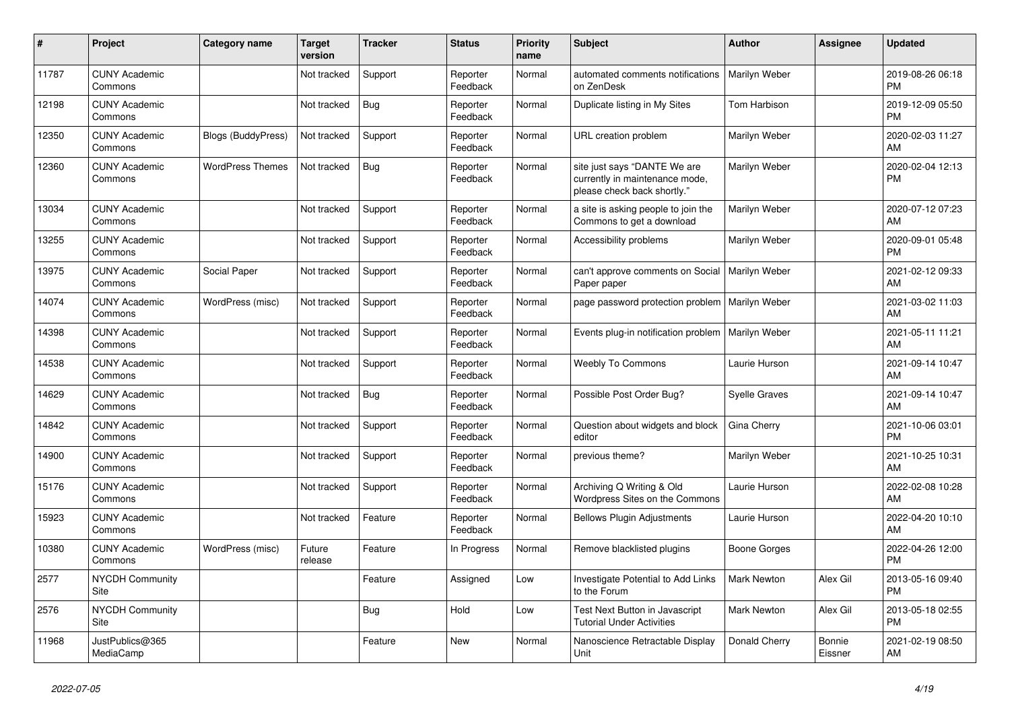| #     | Project                         | Category name             | <b>Target</b><br>version | <b>Tracker</b> | <b>Status</b>        | <b>Priority</b><br>name | <b>Subject</b>                                                                                | <b>Author</b>        | <b>Assignee</b>   | <b>Updated</b>                |
|-------|---------------------------------|---------------------------|--------------------------|----------------|----------------------|-------------------------|-----------------------------------------------------------------------------------------------|----------------------|-------------------|-------------------------------|
| 11787 | <b>CUNY Academic</b><br>Commons |                           | Not tracked              | Support        | Reporter<br>Feedback | Normal                  | automated comments notifications<br>on ZenDesk                                                | Marilyn Weber        |                   | 2019-08-26 06:18<br><b>PM</b> |
| 12198 | <b>CUNY Academic</b><br>Commons |                           | Not tracked              | <b>Bug</b>     | Reporter<br>Feedback | Normal                  | Duplicate listing in My Sites                                                                 | Tom Harbison         |                   | 2019-12-09 05:50<br><b>PM</b> |
| 12350 | <b>CUNY Academic</b><br>Commons | <b>Blogs (BuddyPress)</b> | Not tracked              | Support        | Reporter<br>Feedback | Normal                  | URL creation problem                                                                          | Marilyn Weber        |                   | 2020-02-03 11:27<br>AM        |
| 12360 | <b>CUNY Academic</b><br>Commons | <b>WordPress Themes</b>   | Not tracked              | <b>Bug</b>     | Reporter<br>Feedback | Normal                  | site just says "DANTE We are<br>currently in maintenance mode,<br>please check back shortly." | Marilyn Weber        |                   | 2020-02-04 12:13<br><b>PM</b> |
| 13034 | <b>CUNY Academic</b><br>Commons |                           | Not tracked              | Support        | Reporter<br>Feedback | Normal                  | a site is asking people to join the<br>Commons to get a download                              | Marilyn Weber        |                   | 2020-07-12 07:23<br>AM        |
| 13255 | <b>CUNY Academic</b><br>Commons |                           | Not tracked              | Support        | Reporter<br>Feedback | Normal                  | Accessibility problems                                                                        | Marilyn Weber        |                   | 2020-09-01 05:48<br><b>PM</b> |
| 13975 | <b>CUNY Academic</b><br>Commons | Social Paper              | Not tracked              | Support        | Reporter<br>Feedback | Normal                  | can't approve comments on Social<br>Paper paper                                               | Marilyn Weber        |                   | 2021-02-12 09:33<br>AM        |
| 14074 | <b>CUNY Academic</b><br>Commons | WordPress (misc)          | Not tracked              | Support        | Reporter<br>Feedback | Normal                  | page password protection problem                                                              | Marilyn Weber        |                   | 2021-03-02 11:03<br>AM        |
| 14398 | <b>CUNY Academic</b><br>Commons |                           | Not tracked              | Support        | Reporter<br>Feedback | Normal                  | Events plug-in notification problem                                                           | Marilyn Weber        |                   | 2021-05-11 11:21<br>AM        |
| 14538 | <b>CUNY Academic</b><br>Commons |                           | Not tracked              | Support        | Reporter<br>Feedback | Normal                  | <b>Weebly To Commons</b>                                                                      | Laurie Hurson        |                   | 2021-09-14 10:47<br>AM        |
| 14629 | <b>CUNY Academic</b><br>Commons |                           | Not tracked              | Bug            | Reporter<br>Feedback | Normal                  | Possible Post Order Bug?                                                                      | <b>Syelle Graves</b> |                   | 2021-09-14 10:47<br>AM        |
| 14842 | <b>CUNY Academic</b><br>Commons |                           | Not tracked              | Support        | Reporter<br>Feedback | Normal                  | Question about widgets and block<br>editor                                                    | Gina Cherry          |                   | 2021-10-06 03:01<br><b>PM</b> |
| 14900 | <b>CUNY Academic</b><br>Commons |                           | Not tracked              | Support        | Reporter<br>Feedback | Normal                  | previous theme?                                                                               | Marilyn Weber        |                   | 2021-10-25 10:31<br>AM        |
| 15176 | <b>CUNY Academic</b><br>Commons |                           | Not tracked              | Support        | Reporter<br>Feedback | Normal                  | Archiving Q Writing & Old<br>Wordpress Sites on the Commons                                   | Laurie Hurson        |                   | 2022-02-08 10:28<br>AM        |
| 15923 | <b>CUNY Academic</b><br>Commons |                           | Not tracked              | Feature        | Reporter<br>Feedback | Normal                  | <b>Bellows Plugin Adjustments</b>                                                             | Laurie Hurson        |                   | 2022-04-20 10:10<br>AM        |
| 10380 | <b>CUNY Academic</b><br>Commons | WordPress (misc)          | Future<br>release        | Feature        | In Progress          | Normal                  | Remove blacklisted plugins                                                                    | Boone Gorges         |                   | 2022-04-26 12:00<br><b>PM</b> |
| 2577  | <b>NYCDH Community</b><br>Site  |                           |                          | Feature        | Assigned             | Low                     | Investigate Potential to Add Links<br>to the Forum                                            | <b>Mark Newton</b>   | Alex Gil          | 2013-05-16 09:40<br><b>PM</b> |
| 2576  | <b>NYCDH Community</b><br>Site  |                           |                          | Bug            | Hold                 | Low                     | Test Next Button in Javascript<br><b>Tutorial Under Activities</b>                            | <b>Mark Newton</b>   | Alex Gil          | 2013-05-18 02:55<br><b>PM</b> |
| 11968 | JustPublics@365<br>MediaCamp    |                           |                          | Feature        | <b>New</b>           | Normal                  | Nanoscience Retractable Display<br>Unit                                                       | Donald Cherry        | Bonnie<br>Eissner | 2021-02-19 08:50<br>AM        |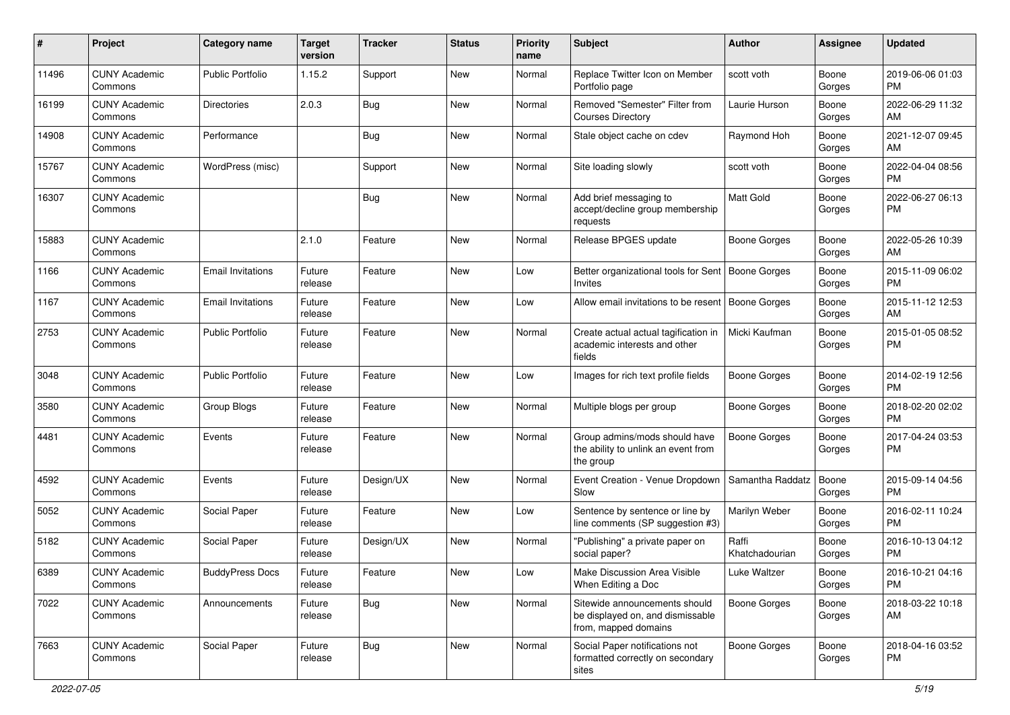| #     | Project                         | <b>Category name</b>     | <b>Target</b><br>version | <b>Tracker</b> | <b>Status</b> | Priority<br>name | <b>Subject</b>                                                                            | <b>Author</b>           | Assignee        | <b>Updated</b>                |
|-------|---------------------------------|--------------------------|--------------------------|----------------|---------------|------------------|-------------------------------------------------------------------------------------------|-------------------------|-----------------|-------------------------------|
| 11496 | <b>CUNY Academic</b><br>Commons | Public Portfolio         | 1.15.2                   | Support        | New           | Normal           | Replace Twitter Icon on Member<br>Portfolio page                                          | scott voth              | Boone<br>Gorges | 2019-06-06 01:03<br>PM.       |
| 16199 | <b>CUNY Academic</b><br>Commons | <b>Directories</b>       | 2.0.3                    | Bug            | New           | Normal           | Removed "Semester" Filter from<br><b>Courses Directory</b>                                | Laurie Hurson           | Boone<br>Gorges | 2022-06-29 11:32<br>AM.       |
| 14908 | <b>CUNY Academic</b><br>Commons | Performance              |                          | Bug            | New           | Normal           | Stale object cache on cdev                                                                | Raymond Hoh             | Boone<br>Gorges | 2021-12-07 09:45<br>AM        |
| 15767 | <b>CUNY Academic</b><br>Commons | WordPress (misc)         |                          | Support        | New           | Normal           | Site loading slowly                                                                       | scott voth              | Boone<br>Gorges | 2022-04-04 08:56<br>PM.       |
| 16307 | <b>CUNY Academic</b><br>Commons |                          |                          | Bug            | New           | Normal           | Add brief messaging to<br>accept/decline group membership<br>requests                     | Matt Gold               | Boone<br>Gorges | 2022-06-27 06:13<br><b>PM</b> |
| 15883 | <b>CUNY Academic</b><br>Commons |                          | 2.1.0                    | Feature        | New           | Normal           | Release BPGES update                                                                      | Boone Gorges            | Boone<br>Gorges | 2022-05-26 10:39<br>AM        |
| 1166  | <b>CUNY Academic</b><br>Commons | <b>Email Invitations</b> | Future<br>release        | Feature        | New           | Low              | Better organizational tools for Sent   Boone Gorges<br>Invites                            |                         | Boone<br>Gorges | 2015-11-09 06:02<br><b>PM</b> |
| 1167  | <b>CUNY Academic</b><br>Commons | Email Invitations        | Future<br>release        | Feature        | New           | Low              | Allow email invitations to be resent                                                      | Boone Gorges            | Boone<br>Gorges | 2015-11-12 12:53<br>AM        |
| 2753  | <b>CUNY Academic</b><br>Commons | <b>Public Portfolio</b>  | Future<br>release        | Feature        | <b>New</b>    | Normal           | Create actual actual tagification in<br>academic interests and other<br>fields            | Micki Kaufman           | Boone<br>Gorges | 2015-01-05 08:52<br>PM.       |
| 3048  | <b>CUNY Academic</b><br>Commons | Public Portfolio         | Future<br>release        | Feature        | New           | Low              | Images for rich text profile fields                                                       | Boone Gorges            | Boone<br>Gorges | 2014-02-19 12:56<br><b>PM</b> |
| 3580  | <b>CUNY Academic</b><br>Commons | Group Blogs              | Future<br>release        | Feature        | <b>New</b>    | Normal           | Multiple blogs per group                                                                  | Boone Gorges            | Boone<br>Gorges | 2018-02-20 02:02<br><b>PM</b> |
| 4481  | <b>CUNY Academic</b><br>Commons | Events                   | Future<br>release        | Feature        | New           | Normal           | Group admins/mods should have<br>the ability to unlink an event from<br>the group         | <b>Boone Gorges</b>     | Boone<br>Gorges | 2017-04-24 03:53<br><b>PM</b> |
| 4592  | <b>CUNY Academic</b><br>Commons | Events                   | Future<br>release        | Design/UX      | New           | Normal           | Event Creation - Venue Dropdown<br>Slow                                                   | Samantha Raddatz        | Boone<br>Gorges | 2015-09-14 04:56<br><b>PM</b> |
| 5052  | <b>CUNY Academic</b><br>Commons | Social Paper             | Future<br>release        | Feature        | <b>New</b>    | Low              | Sentence by sentence or line by<br>line comments (SP suggestion #3)                       | Marilyn Weber           | Boone<br>Gorges | 2016-02-11 10:24<br><b>PM</b> |
| 5182  | <b>CUNY Academic</b><br>Commons | Social Paper             | Future<br>release        | Design/UX      | <b>New</b>    | Normal           | "Publishing" a private paper on<br>social paper?                                          | Raffi<br>Khatchadourian | Boone<br>Gorges | 2016-10-13 04:12<br><b>PM</b> |
| 6389  | <b>CUNY Academic</b><br>Commons | <b>BuddyPress Docs</b>   | Future<br>release        | Feature        | New           | Low              | Make Discussion Area Visible<br>When Editing a Doc                                        | Luke Waltzer            | Boone<br>Gorges | 2016-10-21 04:16<br><b>PM</b> |
| 7022  | <b>CUNY Academic</b><br>Commons | Announcements            | Future<br>release        | Bug            | New           | Normal           | Sitewide announcements should<br>be displayed on, and dismissable<br>from, mapped domains | Boone Gorges            | Boone<br>Gorges | 2018-03-22 10:18<br>AM        |
| 7663  | <b>CUNY Academic</b><br>Commons | Social Paper             | Future<br>release        | Bug            | New           | Normal           | Social Paper notifications not<br>formatted correctly on secondary<br>sites               | Boone Gorges            | Boone<br>Gorges | 2018-04-16 03:52<br>PM.       |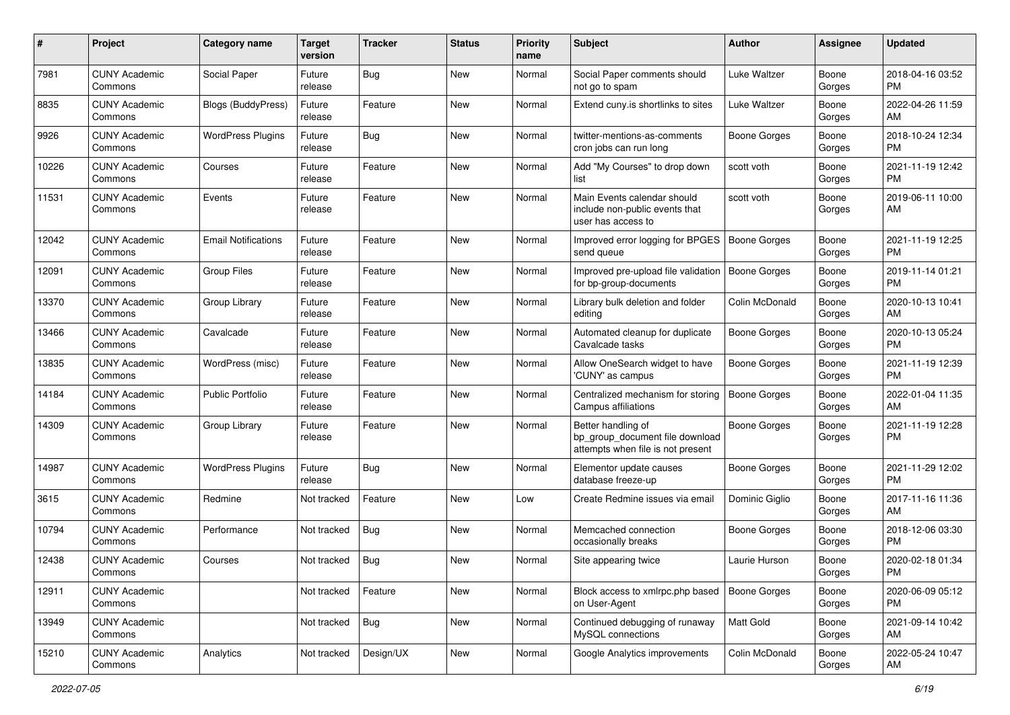| #     | Project                         | Category name              | <b>Target</b><br>version | <b>Tracker</b> | <b>Status</b> | <b>Priority</b><br>name | Subject                                                                                    | Author              | Assignee        | <b>Updated</b>                |
|-------|---------------------------------|----------------------------|--------------------------|----------------|---------------|-------------------------|--------------------------------------------------------------------------------------------|---------------------|-----------------|-------------------------------|
| 7981  | <b>CUNY Academic</b><br>Commons | Social Paper               | Future<br>release        | Bug            | <b>New</b>    | Normal                  | Social Paper comments should<br>not go to spam                                             | Luke Waltzer        | Boone<br>Gorges | 2018-04-16 03:52<br>PM.       |
| 8835  | <b>CUNY Academic</b><br>Commons | <b>Blogs (BuddyPress)</b>  | Future<br>release        | Feature        | New           | Normal                  | Extend cuny is shortlinks to sites                                                         | Luke Waltzer        | Boone<br>Gorges | 2022-04-26 11:59<br>AM        |
| 9926  | <b>CUNY Academic</b><br>Commons | <b>WordPress Plugins</b>   | Future<br>release        | Bug            | New           | Normal                  | twitter-mentions-as-comments<br>cron jobs can run long                                     | Boone Gorges        | Boone<br>Gorges | 2018-10-24 12:34<br><b>PM</b> |
| 10226 | <b>CUNY Academic</b><br>Commons | Courses                    | Future<br>release        | Feature        | New           | Normal                  | Add "My Courses" to drop down<br>list                                                      | scott voth          | Boone<br>Gorges | 2021-11-19 12:42<br><b>PM</b> |
| 11531 | <b>CUNY Academic</b><br>Commons | Events                     | Future<br>release        | Feature        | New           | Normal                  | Main Events calendar should<br>include non-public events that<br>user has access to        | scott voth          | Boone<br>Gorges | 2019-06-11 10:00<br>AM        |
| 12042 | <b>CUNY Academic</b><br>Commons | <b>Email Notifications</b> | Future<br>release        | Feature        | New           | Normal                  | Improved error logging for BPGES<br>send queue                                             | Boone Gorges        | Boone<br>Gorges | 2021-11-19 12:25<br><b>PM</b> |
| 12091 | <b>CUNY Academic</b><br>Commons | <b>Group Files</b>         | Future<br>release        | Feature        | New           | Normal                  | Improved pre-upload file validation<br>for bp-group-documents                              | <b>Boone Gorges</b> | Boone<br>Gorges | 2019-11-14 01:21<br><b>PM</b> |
| 13370 | <b>CUNY Academic</b><br>Commons | Group Library              | Future<br>release        | Feature        | New           | Normal                  | Library bulk deletion and folder<br>editing                                                | Colin McDonald      | Boone<br>Gorges | 2020-10-13 10:41<br>AM        |
| 13466 | <b>CUNY Academic</b><br>Commons | Cavalcade                  | Future<br>release        | Feature        | <b>New</b>    | Normal                  | Automated cleanup for duplicate<br>Cavalcade tasks                                         | <b>Boone Gorges</b> | Boone<br>Gorges | 2020-10-13 05:24<br>PM.       |
| 13835 | <b>CUNY Academic</b><br>Commons | WordPress (misc)           | Future<br>release        | Feature        | New           | Normal                  | Allow OneSearch widget to have<br>'CUNY' as campus                                         | <b>Boone Gorges</b> | Boone<br>Gorges | 2021-11-19 12:39<br><b>PM</b> |
| 14184 | <b>CUNY Academic</b><br>Commons | <b>Public Portfolio</b>    | Future<br>release        | Feature        | <b>New</b>    | Normal                  | Centralized mechanism for storing<br>Campus affiliations                                   | Boone Gorges        | Boone<br>Gorges | 2022-01-04 11:35<br>AM        |
| 14309 | <b>CUNY Academic</b><br>Commons | Group Library              | Future<br>release        | Feature        | <b>New</b>    | Normal                  | Better handling of<br>bp_group_document file download<br>attempts when file is not present | Boone Gorges        | Boone<br>Gorges | 2021-11-19 12:28<br><b>PM</b> |
| 14987 | <b>CUNY Academic</b><br>Commons | <b>WordPress Plugins</b>   | Future<br>release        | Bug            | <b>New</b>    | Normal                  | Elementor update causes<br>database freeze-up                                              | Boone Gorges        | Boone<br>Gorges | 2021-11-29 12:02<br>PM.       |
| 3615  | <b>CUNY Academic</b><br>Commons | Redmine                    | Not tracked              | Feature        | <b>New</b>    | Low                     | Create Redmine issues via email                                                            | Dominic Giglio      | Boone<br>Gorges | 2017-11-16 11:36<br>AM        |
| 10794 | <b>CUNY Academic</b><br>Commons | Performance                | Not tracked              | Bug            | New           | Normal                  | Memcached connection<br>occasionally breaks                                                | <b>Boone Gorges</b> | Boone<br>Gorges | 2018-12-06 03:30<br><b>PM</b> |
| 12438 | <b>CUNY Academic</b><br>Commons | Courses                    | Not tracked              | Bug            | New           | Normal                  | Site appearing twice                                                                       | Laurie Hurson       | Boone<br>Gorges | 2020-02-18 01:34<br>PM        |
| 12911 | <b>CUNY Academic</b><br>Commons |                            | Not tracked              | Feature        | New           | Normal                  | Block access to xmlrpc.php based<br>on User-Agent                                          | Boone Gorges        | Boone<br>Gorges | 2020-06-09 05:12<br>PM        |
| 13949 | <b>CUNY Academic</b><br>Commons |                            | Not tracked              | Bug            | New           | Normal                  | Continued debugging of runaway<br>MySQL connections                                        | Matt Gold           | Boone<br>Gorges | 2021-09-14 10:42<br>AM        |
| 15210 | <b>CUNY Academic</b><br>Commons | Analytics                  | Not tracked              | Design/UX      | New           | Normal                  | Google Analytics improvements                                                              | Colin McDonald      | Boone<br>Gorges | 2022-05-24 10:47<br>AM        |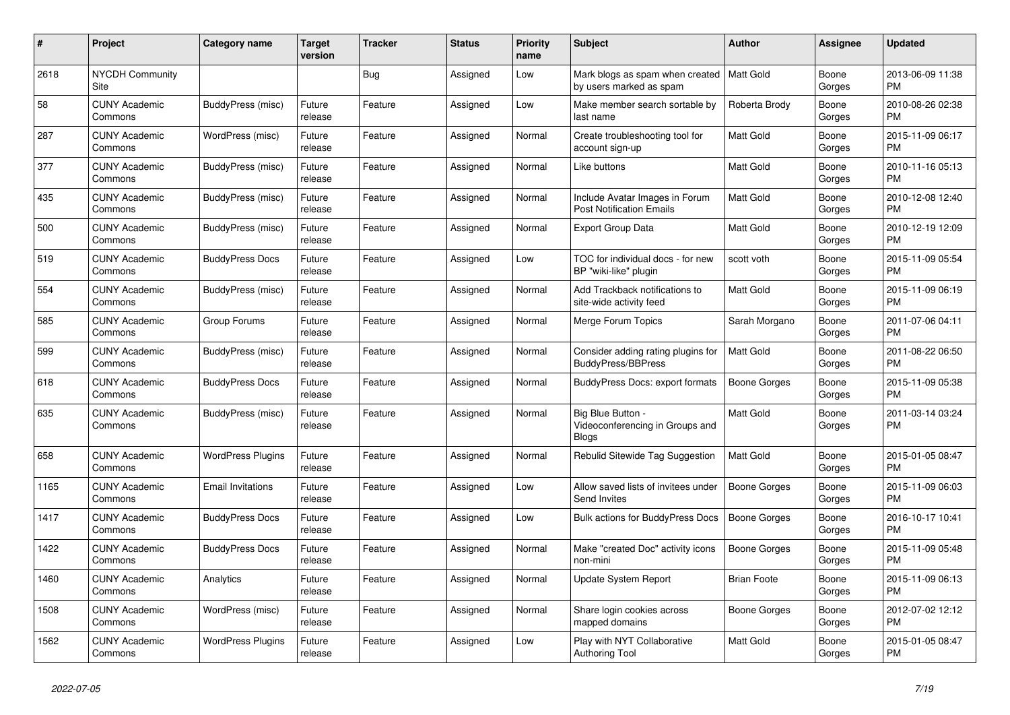| #    | <b>Project</b>                  | <b>Category name</b>     | <b>Target</b><br>version | <b>Tracker</b> | <b>Status</b> | <b>Priority</b><br>name | <b>Subject</b>                                                       | <b>Author</b>       | Assignee        | <b>Updated</b>                |
|------|---------------------------------|--------------------------|--------------------------|----------------|---------------|-------------------------|----------------------------------------------------------------------|---------------------|-----------------|-------------------------------|
| 2618 | <b>NYCDH Community</b><br>Site  |                          |                          | <b>Bug</b>     | Assigned      | Low                     | Mark blogs as spam when created<br>by users marked as spam           | Matt Gold           | Boone<br>Gorges | 2013-06-09 11:38<br><b>PM</b> |
| 58   | <b>CUNY Academic</b><br>Commons | BuddyPress (misc)        | Future<br>release        | Feature        | Assigned      | Low                     | Make member search sortable by<br>last name                          | Roberta Brody       | Boone<br>Gorges | 2010-08-26 02:38<br><b>PM</b> |
| 287  | <b>CUNY Academic</b><br>Commons | WordPress (misc)         | Future<br>release        | Feature        | Assigned      | Normal                  | Create troubleshooting tool for<br>account sign-up                   | Matt Gold           | Boone<br>Gorges | 2015-11-09 06:17<br><b>PM</b> |
| 377  | <b>CUNY Academic</b><br>Commons | BuddyPress (misc)        | Future<br>release        | Feature        | Assigned      | Normal                  | Like buttons                                                         | <b>Matt Gold</b>    | Boone<br>Gorges | 2010-11-16 05:13<br><b>PM</b> |
| 435  | <b>CUNY Academic</b><br>Commons | BuddyPress (misc)        | Future<br>release        | Feature        | Assigned      | Normal                  | Include Avatar Images in Forum<br><b>Post Notification Emails</b>    | <b>Matt Gold</b>    | Boone<br>Gorges | 2010-12-08 12:40<br><b>PM</b> |
| 500  | <b>CUNY Academic</b><br>Commons | BuddyPress (misc)        | Future<br>release        | Feature        | Assigned      | Normal                  | <b>Export Group Data</b>                                             | Matt Gold           | Boone<br>Gorges | 2010-12-19 12:09<br><b>PM</b> |
| 519  | <b>CUNY Academic</b><br>Commons | <b>BuddyPress Docs</b>   | Future<br>release        | Feature        | Assigned      | Low                     | TOC for individual docs - for new<br>BP "wiki-like" plugin           | scott voth          | Boone<br>Gorges | 2015-11-09 05:54<br><b>PM</b> |
| 554  | <b>CUNY Academic</b><br>Commons | BuddyPress (misc)        | Future<br>release        | Feature        | Assigned      | Normal                  | Add Trackback notifications to<br>site-wide activity feed            | <b>Matt Gold</b>    | Boone<br>Gorges | 2015-11-09 06:19<br><b>PM</b> |
| 585  | <b>CUNY Academic</b><br>Commons | Group Forums             | Future<br>release        | Feature        | Assigned      | Normal                  | Merge Forum Topics                                                   | Sarah Morgano       | Boone<br>Gorges | 2011-07-06 04:11<br><b>PM</b> |
| 599  | <b>CUNY Academic</b><br>Commons | BuddyPress (misc)        | Future<br>release        | Feature        | Assigned      | Normal                  | Consider adding rating plugins for<br>BuddyPress/BBPress             | <b>Matt Gold</b>    | Boone<br>Gorges | 2011-08-22 06:50<br><b>PM</b> |
| 618  | <b>CUNY Academic</b><br>Commons | <b>BuddyPress Docs</b>   | Future<br>release        | Feature        | Assigned      | Normal                  | BuddyPress Docs: export formats                                      | Boone Gorges        | Boone<br>Gorges | 2015-11-09 05:38<br><b>PM</b> |
| 635  | <b>CUNY Academic</b><br>Commons | BuddyPress (misc)        | Future<br>release        | Feature        | Assigned      | Normal                  | Big Blue Button -<br>Videoconferencing in Groups and<br><b>Blogs</b> | <b>Matt Gold</b>    | Boone<br>Gorges | 2011-03-14 03:24<br><b>PM</b> |
| 658  | <b>CUNY Academic</b><br>Commons | <b>WordPress Plugins</b> | Future<br>release        | Feature        | Assigned      | Normal                  | Rebulid Sitewide Tag Suggestion                                      | <b>Matt Gold</b>    | Boone<br>Gorges | 2015-01-05 08:47<br><b>PM</b> |
| 1165 | <b>CUNY Academic</b><br>Commons | <b>Email Invitations</b> | Future<br>release        | Feature        | Assigned      | Low                     | Allow saved lists of invitees under<br><b>Send Invites</b>           | Boone Gorges        | Boone<br>Gorges | 2015-11-09 06:03<br><b>PM</b> |
| 1417 | <b>CUNY Academic</b><br>Commons | <b>BuddyPress Docs</b>   | Future<br>release        | Feature        | Assigned      | Low                     | <b>Bulk actions for BuddyPress Docs</b>                              | Boone Gorges        | Boone<br>Gorges | 2016-10-17 10:41<br><b>PM</b> |
| 1422 | <b>CUNY Academic</b><br>Commons | <b>BuddyPress Docs</b>   | Future<br>release        | Feature        | Assigned      | Normal                  | Make "created Doc" activity icons<br>non-mini                        | <b>Boone Gorges</b> | Boone<br>Gorges | 2015-11-09 05:48<br><b>PM</b> |
| 1460 | <b>CUNY Academic</b><br>Commons | Analytics                | Future<br>release        | Feature        | Assigned      | Normal                  | <b>Update System Report</b>                                          | <b>Brian Foote</b>  | Boone<br>Gorges | 2015-11-09 06:13<br><b>PM</b> |
| 1508 | <b>CUNY Academic</b><br>Commons | WordPress (misc)         | Future<br>release        | Feature        | Assigned      | Normal                  | Share login cookies across<br>mapped domains                         | Boone Gorges        | Boone<br>Gorges | 2012-07-02 12:12<br><b>PM</b> |
| 1562 | <b>CUNY Academic</b><br>Commons | <b>WordPress Plugins</b> | Future<br>release        | Feature        | Assigned      | Low                     | Play with NYT Collaborative<br>Authoring Tool                        | <b>Matt Gold</b>    | Boone<br>Gorges | 2015-01-05 08:47<br><b>PM</b> |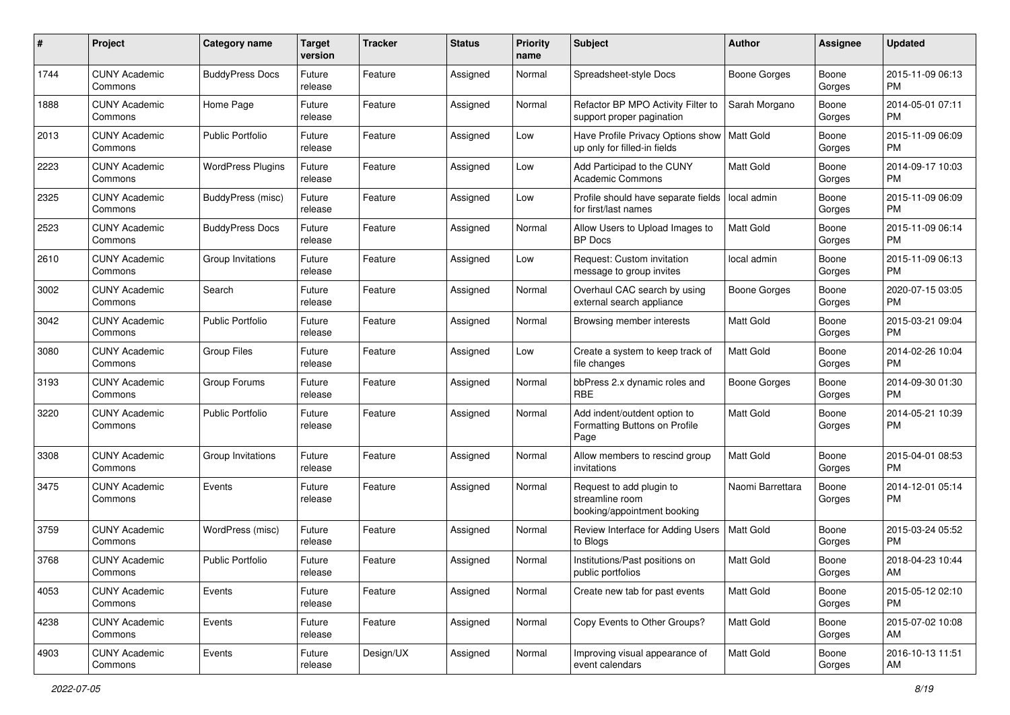| #    | Project                         | <b>Category name</b>     | <b>Target</b><br>version | <b>Tracker</b> | <b>Status</b> | <b>Priority</b><br>name | <b>Subject</b>                                                             | <b>Author</b>       | Assignee        | <b>Updated</b>                |
|------|---------------------------------|--------------------------|--------------------------|----------------|---------------|-------------------------|----------------------------------------------------------------------------|---------------------|-----------------|-------------------------------|
| 1744 | <b>CUNY Academic</b><br>Commons | <b>BuddyPress Docs</b>   | Future<br>release        | Feature        | Assigned      | Normal                  | Spreadsheet-style Docs                                                     | Boone Gorges        | Boone<br>Gorges | 2015-11-09 06:13<br>PM        |
| 1888 | <b>CUNY Academic</b><br>Commons | Home Page                | Future<br>release        | Feature        | Assigned      | Normal                  | Refactor BP MPO Activity Filter to<br>support proper pagination            | Sarah Morgano       | Boone<br>Gorges | 2014-05-01 07:11<br><b>PM</b> |
| 2013 | CUNY Academic<br>Commons        | <b>Public Portfolio</b>  | Future<br>release        | Feature        | Assigned      | Low                     | Have Profile Privacy Options show<br>up only for filled-in fields          | Matt Gold           | Boone<br>Gorges | 2015-11-09 06:09<br><b>PM</b> |
| 2223 | <b>CUNY Academic</b><br>Commons | <b>WordPress Plugins</b> | Future<br>release        | Feature        | Assigned      | Low                     | Add Participad to the CUNY<br>Academic Commons                             | <b>Matt Gold</b>    | Boone<br>Gorges | 2014-09-17 10:03<br><b>PM</b> |
| 2325 | CUNY Academic<br>Commons        | BuddyPress (misc)        | Future<br>release        | Feature        | Assigned      | Low                     | Profile should have separate fields<br>for first/last names                | local admin         | Boone<br>Gorges | 2015-11-09 06:09<br><b>PM</b> |
| 2523 | <b>CUNY Academic</b><br>Commons | <b>BuddyPress Docs</b>   | Future<br>release        | Feature        | Assigned      | Normal                  | Allow Users to Upload Images to<br><b>BP</b> Docs                          | Matt Gold           | Boone<br>Gorges | 2015-11-09 06:14<br><b>PM</b> |
| 2610 | <b>CUNY Academic</b><br>Commons | Group Invitations        | Future<br>release        | Feature        | Assigned      | Low                     | Request: Custom invitation<br>message to group invites                     | local admin         | Boone<br>Gorges | 2015-11-09 06:13<br><b>PM</b> |
| 3002 | <b>CUNY Academic</b><br>Commons | Search                   | Future<br>release        | Feature        | Assigned      | Normal                  | Overhaul CAC search by using<br>external search appliance                  | <b>Boone Gorges</b> | Boone<br>Gorges | 2020-07-15 03:05<br>PM        |
| 3042 | <b>CUNY Academic</b><br>Commons | <b>Public Portfolio</b>  | Future<br>release        | Feature        | Assigned      | Normal                  | Browsing member interests                                                  | Matt Gold           | Boone<br>Gorges | 2015-03-21 09:04<br><b>PM</b> |
| 3080 | CUNY Academic<br>Commons        | <b>Group Files</b>       | Future<br>release        | Feature        | Assigned      | Low                     | Create a system to keep track of<br>file changes                           | <b>Matt Gold</b>    | Boone<br>Gorges | 2014-02-26 10:04<br><b>PM</b> |
| 3193 | <b>CUNY Academic</b><br>Commons | Group Forums             | Future<br>release        | Feature        | Assigned      | Normal                  | bbPress 2.x dynamic roles and<br><b>RBE</b>                                | Boone Gorges        | Boone<br>Gorges | 2014-09-30 01:30<br><b>PM</b> |
| 3220 | CUNY Academic<br>Commons        | <b>Public Portfolio</b>  | Future<br>release        | Feature        | Assigned      | Normal                  | Add indent/outdent option to<br>Formatting Buttons on Profile<br>Page      | <b>Matt Gold</b>    | Boone<br>Gorges | 2014-05-21 10:39<br><b>PM</b> |
| 3308 | <b>CUNY Academic</b><br>Commons | Group Invitations        | Future<br>release        | Feature        | Assigned      | Normal                  | Allow members to rescind group<br>invitations                              | <b>Matt Gold</b>    | Boone<br>Gorges | 2015-04-01 08:53<br><b>PM</b> |
| 3475 | <b>CUNY Academic</b><br>Commons | Events                   | Future<br>release        | Feature        | Assigned      | Normal                  | Request to add plugin to<br>streamline room<br>booking/appointment booking | Naomi Barrettara    | Boone<br>Gorges | 2014-12-01 05:14<br><b>PM</b> |
| 3759 | <b>CUNY Academic</b><br>Commons | WordPress (misc)         | Future<br>release        | Feature        | Assigned      | Normal                  | Review Interface for Adding Users<br>to Blogs                              | Matt Gold           | Boone<br>Gorges | 2015-03-24 05:52<br><b>PM</b> |
| 3768 | <b>CUNY Academic</b><br>Commons | <b>Public Portfolio</b>  | Future<br>release        | Feature        | Assigned      | Normal                  | Institutions/Past positions on<br>public portfolios                        | Matt Gold           | Boone<br>Gorges | 2018-04-23 10:44<br>AM        |
| 4053 | <b>CUNY Academic</b><br>Commons | Events                   | Future<br>release        | Feature        | Assigned      | Normal                  | Create new tab for past events                                             | Matt Gold           | Boone<br>Gorges | 2015-05-12 02:10<br><b>PM</b> |
| 4238 | <b>CUNY Academic</b><br>Commons | Events                   | Future<br>release        | Feature        | Assigned      | Normal                  | Copy Events to Other Groups?                                               | <b>Matt Gold</b>    | Boone<br>Gorges | 2015-07-02 10:08<br>AM        |
| 4903 | <b>CUNY Academic</b><br>Commons | Events                   | Future<br>release        | Design/UX      | Assigned      | Normal                  | Improving visual appearance of<br>event calendars                          | Matt Gold           | Boone<br>Gorges | 2016-10-13 11:51<br>AM        |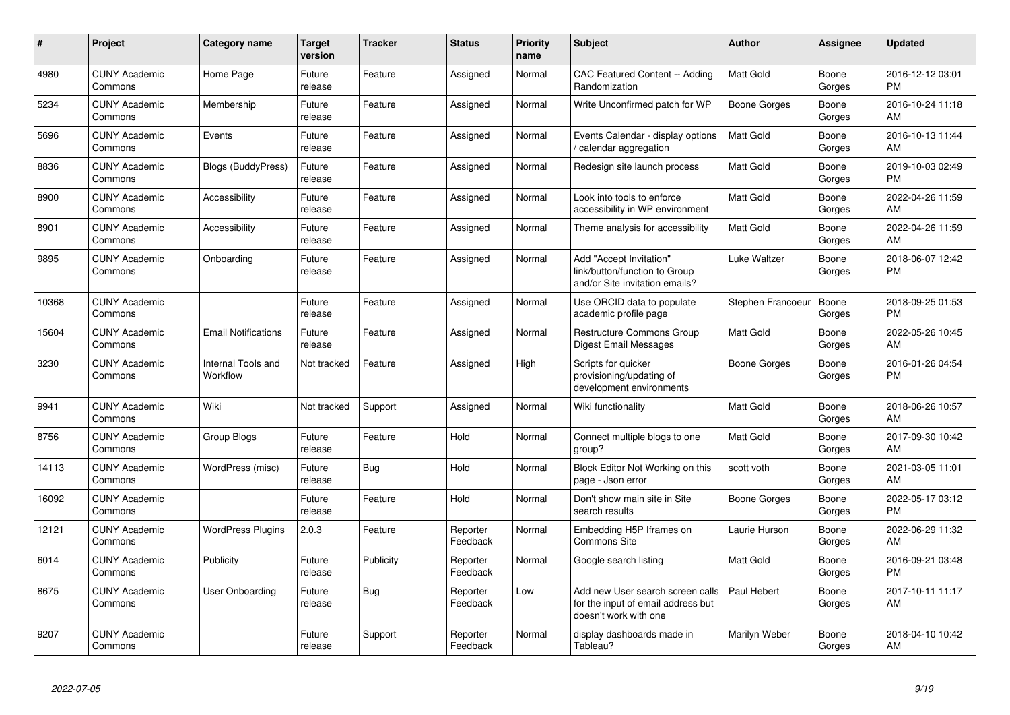| #     | Project                         | <b>Category name</b>           | <b>Target</b><br>version | <b>Tracker</b> | <b>Status</b>        | <b>Priority</b><br>name | <b>Subject</b>                                                                                  | <b>Author</b>       | Assignee        | <b>Updated</b>                |
|-------|---------------------------------|--------------------------------|--------------------------|----------------|----------------------|-------------------------|-------------------------------------------------------------------------------------------------|---------------------|-----------------|-------------------------------|
| 4980  | <b>CUNY Academic</b><br>Commons | Home Page                      | Future<br>release        | Feature        | Assigned             | Normal                  | CAC Featured Content -- Adding<br>Randomization                                                 | <b>Matt Gold</b>    | Boone<br>Gorges | 2016-12-12 03:01<br><b>PM</b> |
| 5234  | <b>CUNY Academic</b><br>Commons | Membership                     | Future<br>release        | Feature        | Assigned             | Normal                  | Write Unconfirmed patch for WP                                                                  | Boone Gorges        | Boone<br>Gorges | 2016-10-24 11:18<br>AM        |
| 5696  | <b>CUNY Academic</b><br>Commons | Events                         | Future<br>release        | Feature        | Assigned             | Normal                  | Events Calendar - display options<br>/ calendar aggregation                                     | <b>Matt Gold</b>    | Boone<br>Gorges | 2016-10-13 11:44<br>AM        |
| 8836  | <b>CUNY Academic</b><br>Commons | <b>Blogs (BuddyPress)</b>      | Future<br>release        | Feature        | Assigned             | Normal                  | Redesign site launch process                                                                    | <b>Matt Gold</b>    | Boone<br>Gorges | 2019-10-03 02:49<br><b>PM</b> |
| 8900  | <b>CUNY Academic</b><br>Commons | Accessibility                  | Future<br>release        | Feature        | Assigned             | Normal                  | Look into tools to enforce<br>accessibility in WP environment                                   | <b>Matt Gold</b>    | Boone<br>Gorges | 2022-04-26 11:59<br>AM        |
| 8901  | <b>CUNY Academic</b><br>Commons | Accessibility                  | Future<br>release        | Feature        | Assigned             | Normal                  | Theme analysis for accessibility                                                                | <b>Matt Gold</b>    | Boone<br>Gorges | 2022-04-26 11:59<br>AM        |
| 9895  | <b>CUNY Academic</b><br>Commons | Onboarding                     | Future<br>release        | Feature        | Assigned             | Normal                  | Add "Accept Invitation"<br>link/button/function to Group<br>and/or Site invitation emails?      | Luke Waltzer        | Boone<br>Gorges | 2018-06-07 12:42<br><b>PM</b> |
| 10368 | <b>CUNY Academic</b><br>Commons |                                | Future<br>release        | Feature        | Assigned             | Normal                  | Use ORCID data to populate<br>academic profile page                                             | Stephen Francoeur   | Boone<br>Gorges | 2018-09-25 01:53<br><b>PM</b> |
| 15604 | <b>CUNY Academic</b><br>Commons | <b>Email Notifications</b>     | Future<br>release        | Feature        | Assigned             | Normal                  | Restructure Commons Group<br><b>Digest Email Messages</b>                                       | <b>Matt Gold</b>    | Boone<br>Gorges | 2022-05-26 10:45<br>AM        |
| 3230  | <b>CUNY Academic</b><br>Commons | Internal Tools and<br>Workflow | Not tracked              | Feature        | Assigned             | High                    | Scripts for quicker<br>provisioning/updating of<br>development environments                     | <b>Boone Gorges</b> | Boone<br>Gorges | 2016-01-26 04:54<br><b>PM</b> |
| 9941  | <b>CUNY Academic</b><br>Commons | Wiki                           | Not tracked              | Support        | Assigned             | Normal                  | Wiki functionality                                                                              | <b>Matt Gold</b>    | Boone<br>Gorges | 2018-06-26 10:57<br>AM        |
| 8756  | <b>CUNY Academic</b><br>Commons | Group Blogs                    | Future<br>release        | Feature        | Hold                 | Normal                  | Connect multiple blogs to one<br>group?                                                         | <b>Matt Gold</b>    | Boone<br>Gorges | 2017-09-30 10:42<br>AM        |
| 14113 | <b>CUNY Academic</b><br>Commons | WordPress (misc)               | Future<br>release        | Bug            | Hold                 | Normal                  | Block Editor Not Working on this<br>page - Json error                                           | scott voth          | Boone<br>Gorges | 2021-03-05 11:01<br>AM        |
| 16092 | <b>CUNY Academic</b><br>Commons |                                | Future<br>release        | Feature        | Hold                 | Normal                  | Don't show main site in Site<br>search results                                                  | <b>Boone Gorges</b> | Boone<br>Gorges | 2022-05-17 03:12<br><b>PM</b> |
| 12121 | <b>CUNY Academic</b><br>Commons | <b>WordPress Plugins</b>       | 2.0.3                    | Feature        | Reporter<br>Feedback | Normal                  | Embedding H5P Iframes on<br><b>Commons Site</b>                                                 | Laurie Hurson       | Boone<br>Gorges | 2022-06-29 11:32<br>AM        |
| 6014  | <b>CUNY Academic</b><br>Commons | Publicity                      | Future<br>release        | Publicity      | Reporter<br>Feedback | Normal                  | Google search listing                                                                           | <b>Matt Gold</b>    | Boone<br>Gorges | 2016-09-21 03:48<br><b>PM</b> |
| 8675  | <b>CUNY Academic</b><br>Commons | User Onboarding                | Future<br>release        | <b>Bug</b>     | Reporter<br>Feedback | Low                     | Add new User search screen calls<br>for the input of email address but<br>doesn't work with one | Paul Hebert         | Boone<br>Gorges | 2017-10-11 11:17<br>AM        |
| 9207  | <b>CUNY Academic</b><br>Commons |                                | Future<br>release        | Support        | Reporter<br>Feedback | Normal                  | display dashboards made in<br>Tableau?                                                          | Marilyn Weber       | Boone<br>Gorges | 2018-04-10 10:42<br>AM        |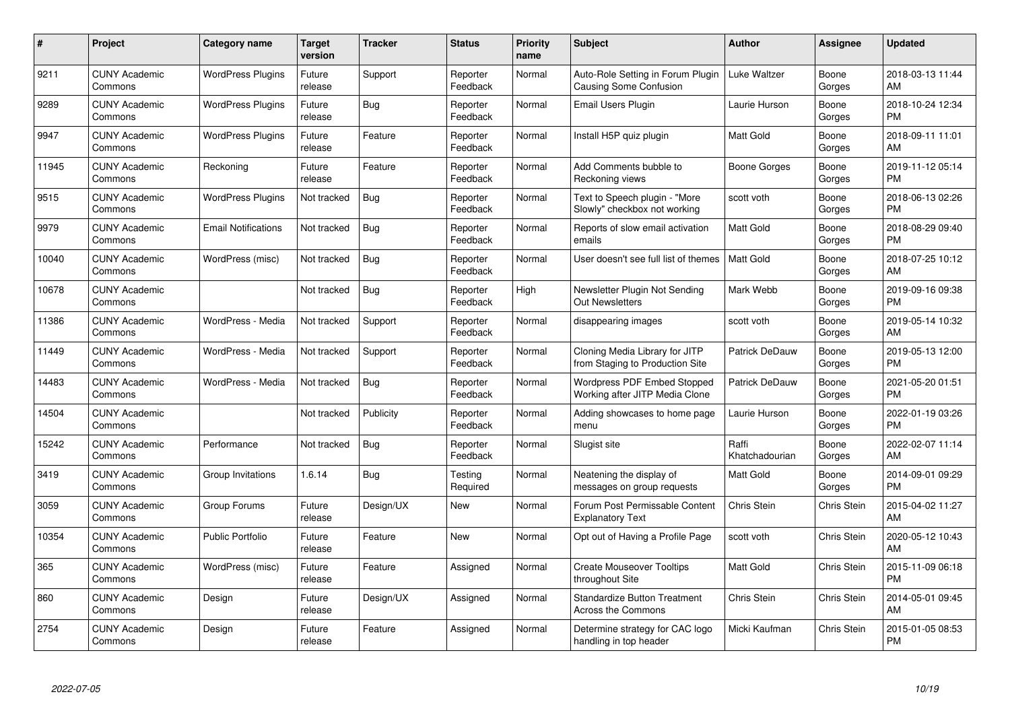| $\pmb{\#}$ | Project                         | <b>Category name</b>       | <b>Target</b><br>version | <b>Tracker</b> | <b>Status</b>        | <b>Priority</b><br>name | <b>Subject</b>                                                       | <b>Author</b>           | Assignee           | <b>Updated</b>                |
|------------|---------------------------------|----------------------------|--------------------------|----------------|----------------------|-------------------------|----------------------------------------------------------------------|-------------------------|--------------------|-------------------------------|
| 9211       | <b>CUNY Academic</b><br>Commons | <b>WordPress Plugins</b>   | Future<br>release        | Support        | Reporter<br>Feedback | Normal                  | Auto-Role Setting in Forum Plugin<br><b>Causing Some Confusion</b>   | Luke Waltzer            | Boone<br>Gorges    | 2018-03-13 11:44<br>AM        |
| 9289       | <b>CUNY Academic</b><br>Commons | <b>WordPress Plugins</b>   | Future<br>release        | Bug            | Reporter<br>Feedback | Normal                  | Email Users Plugin                                                   | Laurie Hurson           | Boone<br>Gorges    | 2018-10-24 12:34<br><b>PM</b> |
| 9947       | <b>CUNY Academic</b><br>Commons | <b>WordPress Plugins</b>   | Future<br>release        | Feature        | Reporter<br>Feedback | Normal                  | Install H5P quiz plugin                                              | <b>Matt Gold</b>        | Boone<br>Gorges    | 2018-09-11 11:01<br>AM        |
| 11945      | <b>CUNY Academic</b><br>Commons | Reckoning                  | Future<br>release        | Feature        | Reporter<br>Feedback | Normal                  | Add Comments bubble to<br>Reckoning views                            | Boone Gorges            | Boone<br>Gorges    | 2019-11-12 05:14<br><b>PM</b> |
| 9515       | <b>CUNY Academic</b><br>Commons | <b>WordPress Plugins</b>   | Not tracked              | <b>Bug</b>     | Reporter<br>Feedback | Normal                  | Text to Speech plugin - "More<br>Slowly" checkbox not working        | scott voth              | Boone<br>Gorges    | 2018-06-13 02:26<br><b>PM</b> |
| 9979       | <b>CUNY Academic</b><br>Commons | <b>Email Notifications</b> | Not tracked              | <b>Bug</b>     | Reporter<br>Feedback | Normal                  | Reports of slow email activation<br>emails                           | Matt Gold               | Boone<br>Gorges    | 2018-08-29 09:40<br><b>PM</b> |
| 10040      | <b>CUNY Academic</b><br>Commons | WordPress (misc)           | Not tracked              | <b>Bug</b>     | Reporter<br>Feedback | Normal                  | User doesn't see full list of themes                                 | <b>Matt Gold</b>        | Boone<br>Gorges    | 2018-07-25 10:12<br>AM        |
| 10678      | <b>CUNY Academic</b><br>Commons |                            | Not tracked              | Bug            | Reporter<br>Feedback | High                    | Newsletter Plugin Not Sending<br><b>Out Newsletters</b>              | Mark Webb               | Boone<br>Gorges    | 2019-09-16 09:38<br><b>PM</b> |
| 11386      | <b>CUNY Academic</b><br>Commons | WordPress - Media          | Not tracked              | Support        | Reporter<br>Feedback | Normal                  | disappearing images                                                  | scott voth              | Boone<br>Gorges    | 2019-05-14 10:32<br>AM        |
| 11449      | <b>CUNY Academic</b><br>Commons | WordPress - Media          | Not tracked              | Support        | Reporter<br>Feedback | Normal                  | Cloning Media Library for JITP<br>from Staging to Production Site    | <b>Patrick DeDauw</b>   | Boone<br>Gorges    | 2019-05-13 12:00<br><b>PM</b> |
| 14483      | <b>CUNY Academic</b><br>Commons | WordPress - Media          | Not tracked              | Bug            | Reporter<br>Feedback | Normal                  | <b>Wordpress PDF Embed Stopped</b><br>Working after JITP Media Clone | Patrick DeDauw          | Boone<br>Gorges    | 2021-05-20 01:51<br><b>PM</b> |
| 14504      | <b>CUNY Academic</b><br>Commons |                            | Not tracked              | Publicity      | Reporter<br>Feedback | Normal                  | Adding showcases to home page<br>menu                                | Laurie Hurson           | Boone<br>Gorges    | 2022-01-19 03:26<br><b>PM</b> |
| 15242      | <b>CUNY Academic</b><br>Commons | Performance                | Not tracked              | <b>Bug</b>     | Reporter<br>Feedback | Normal                  | Slugist site                                                         | Raffi<br>Khatchadourian | Boone<br>Gorges    | 2022-02-07 11:14<br>AM        |
| 3419       | <b>CUNY Academic</b><br>Commons | Group Invitations          | 1.6.14                   | Bug            | Testing<br>Required  | Normal                  | Neatening the display of<br>messages on group requests               | <b>Matt Gold</b>        | Boone<br>Gorges    | 2014-09-01 09:29<br><b>PM</b> |
| 3059       | <b>CUNY Academic</b><br>Commons | Group Forums               | Future<br>release        | Design/UX      | New                  | Normal                  | Forum Post Permissable Content<br><b>Explanatory Text</b>            | Chris Stein             | Chris Stein        | 2015-04-02 11:27<br>AM        |
| 10354      | <b>CUNY Academic</b><br>Commons | <b>Public Portfolio</b>    | Future<br>release        | Feature        | <b>New</b>           | Normal                  | Opt out of Having a Profile Page                                     | scott voth              | Chris Stein        | 2020-05-12 10:43<br>AM        |
| 365        | <b>CUNY Academic</b><br>Commons | WordPress (misc)           | Future<br>release        | Feature        | Assigned             | Normal                  | <b>Create Mouseover Tooltips</b><br>throughout Site                  | Matt Gold               | <b>Chris Stein</b> | 2015-11-09 06:18<br><b>PM</b> |
| 860        | <b>CUNY Academic</b><br>Commons | Design                     | Future<br>release        | Design/UX      | Assigned             | Normal                  | <b>Standardize Button Treatment</b><br>Across the Commons            | Chris Stein             | Chris Stein        | 2014-05-01 09:45<br>AM        |
| 2754       | <b>CUNY Academic</b><br>Commons | Design                     | Future<br>release        | Feature        | Assigned             | Normal                  | Determine strategy for CAC logo<br>handling in top header            | Micki Kaufman           | <b>Chris Stein</b> | 2015-01-05 08:53<br>PM        |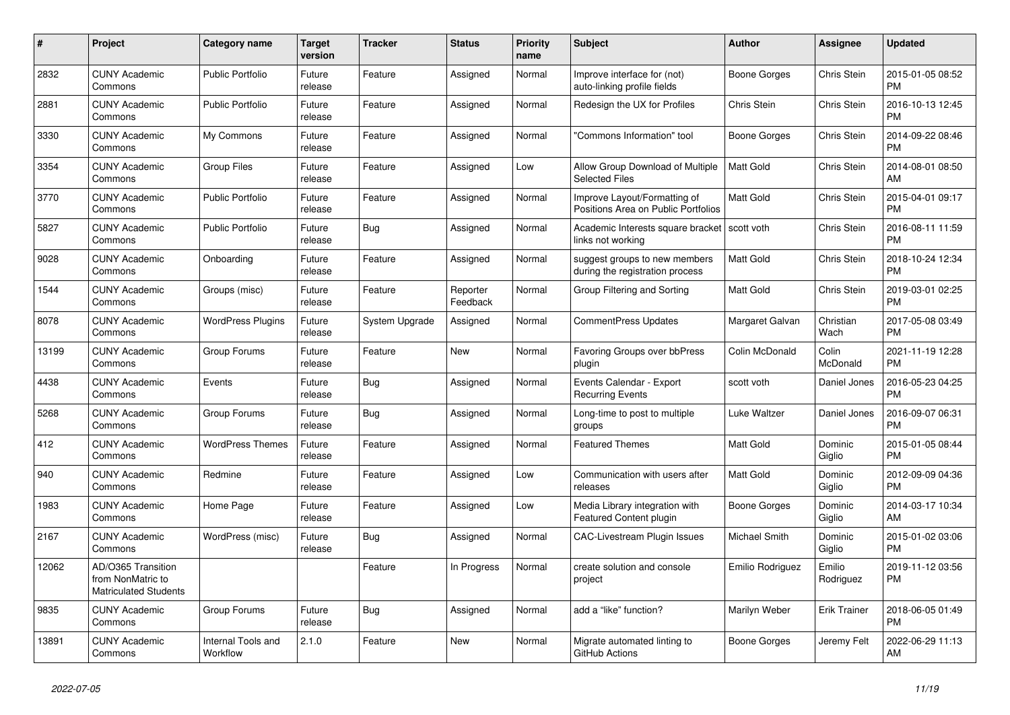| #     | Project                                                                 | <b>Category name</b>           | <b>Target</b><br>version | <b>Tracker</b> | <b>Status</b>        | Priority<br>name | <b>Subject</b>                                                      | <b>Author</b>    | Assignee            | <b>Updated</b>                |
|-------|-------------------------------------------------------------------------|--------------------------------|--------------------------|----------------|----------------------|------------------|---------------------------------------------------------------------|------------------|---------------------|-------------------------------|
| 2832  | <b>CUNY Academic</b><br>Commons                                         | <b>Public Portfolio</b>        | Future<br>release        | Feature        | Assigned             | Normal           | Improve interface for (not)<br>auto-linking profile fields          | Boone Gorges     | Chris Stein         | 2015-01-05 08:52<br><b>PM</b> |
| 2881  | <b>CUNY Academic</b><br>Commons                                         | <b>Public Portfolio</b>        | Future<br>release        | Feature        | Assigned             | Normal           | Redesign the UX for Profiles                                        | Chris Stein      | Chris Stein         | 2016-10-13 12:45<br><b>PM</b> |
| 3330  | <b>CUNY Academic</b><br>Commons                                         | My Commons                     | Future<br>release        | Feature        | Assigned             | Normal           | "Commons Information" tool                                          | Boone Gorges     | Chris Stein         | 2014-09-22 08:46<br><b>PM</b> |
| 3354  | <b>CUNY Academic</b><br>Commons                                         | <b>Group Files</b>             | Future<br>release        | Feature        | Assigned             | Low              | Allow Group Download of Multiple<br><b>Selected Files</b>           | <b>Matt Gold</b> | Chris Stein         | 2014-08-01 08:50<br>AM        |
| 3770  | <b>CUNY Academic</b><br>Commons                                         | <b>Public Portfolio</b>        | Future<br>release        | Feature        | Assigned             | Normal           | Improve Layout/Formatting of<br>Positions Area on Public Portfolios | Matt Gold        | Chris Stein         | 2015-04-01 09:17<br><b>PM</b> |
| 5827  | <b>CUNY Academic</b><br>Commons                                         | <b>Public Portfolio</b>        | Future<br>release        | Bug            | Assigned             | Normal           | Academic Interests square bracket<br>links not working              | scott voth       | Chris Stein         | 2016-08-11 11:59<br><b>PM</b> |
| 9028  | <b>CUNY Academic</b><br>Commons                                         | Onboarding                     | Future<br>release        | Feature        | Assigned             | Normal           | suggest groups to new members<br>during the registration process    | <b>Matt Gold</b> | Chris Stein         | 2018-10-24 12:34<br><b>PM</b> |
| 1544  | <b>CUNY Academic</b><br>Commons                                         | Groups (misc)                  | Future<br>release        | Feature        | Reporter<br>Feedback | Normal           | Group Filtering and Sorting                                         | Matt Gold        | Chris Stein         | 2019-03-01 02:25<br><b>PM</b> |
| 8078  | <b>CUNY Academic</b><br>Commons                                         | <b>WordPress Plugins</b>       | Future<br>release        | System Upgrade | Assigned             | Normal           | <b>CommentPress Updates</b>                                         | Margaret Galvan  | Christian<br>Wach   | 2017-05-08 03:49<br><b>PM</b> |
| 13199 | <b>CUNY Academic</b><br>Commons                                         | Group Forums                   | Future<br>release        | Feature        | <b>New</b>           | Normal           | Favoring Groups over bbPress<br>plugin                              | Colin McDonald   | Colin<br>McDonald   | 2021-11-19 12:28<br><b>PM</b> |
| 4438  | <b>CUNY Academic</b><br>Commons                                         | Events                         | Future<br>release        | Bug            | Assigned             | Normal           | Events Calendar - Export<br><b>Recurring Events</b>                 | scott voth       | Daniel Jones        | 2016-05-23 04:25<br><b>PM</b> |
| 5268  | <b>CUNY Academic</b><br>Commons                                         | Group Forums                   | Future<br>release        | Bug            | Assigned             | Normal           | Long-time to post to multiple<br>groups                             | Luke Waltzer     | Daniel Jones        | 2016-09-07 06:31<br><b>PM</b> |
| 412   | <b>CUNY Academic</b><br>Commons                                         | <b>WordPress Themes</b>        | Future<br>release        | Feature        | Assigned             | Normal           | <b>Featured Themes</b>                                              | <b>Matt Gold</b> | Dominic<br>Giglio   | 2015-01-05 08:44<br><b>PM</b> |
| 940   | <b>CUNY Academic</b><br>Commons                                         | Redmine                        | Future<br>release        | Feature        | Assigned             | Low              | Communication with users after<br>releases                          | <b>Matt Gold</b> | Dominic<br>Giglio   | 2012-09-09 04:36<br><b>PM</b> |
| 1983  | <b>CUNY Academic</b><br>Commons                                         | Home Page                      | Future<br>release        | Feature        | Assigned             | Low              | Media Library integration with<br><b>Featured Content plugin</b>    | Boone Gorges     | Dominic<br>Giglio   | 2014-03-17 10:34<br>AM        |
| 2167  | <b>CUNY Academic</b><br>Commons                                         | WordPress (misc)               | Future<br>release        | Bug            | Assigned             | Normal           | CAC-Livestream Plugin Issues                                        | Michael Smith    | Dominic<br>Giglio   | 2015-01-02 03:06<br><b>PM</b> |
| 12062 | AD/O365 Transition<br>from NonMatric to<br><b>Matriculated Students</b> |                                |                          | Feature        | In Progress          | Normal           | create solution and console<br>project                              | Emilio Rodriguez | Emilio<br>Rodriguez | 2019-11-12 03:56<br><b>PM</b> |
| 9835  | <b>CUNY Academic</b><br>Commons                                         | Group Forums                   | Future<br>release        | Bug            | Assigned             | Normal           | add a "like" function?                                              | Marilyn Weber    | <b>Erik Trainer</b> | 2018-06-05 01:49<br><b>PM</b> |
| 13891 | <b>CUNY Academic</b><br>Commons                                         | Internal Tools and<br>Workflow | 2.1.0                    | Feature        | <b>New</b>           | Normal           | Migrate automated linting to<br>GitHub Actions                      | Boone Gorges     | Jeremy Felt         | 2022-06-29 11:13<br>AM        |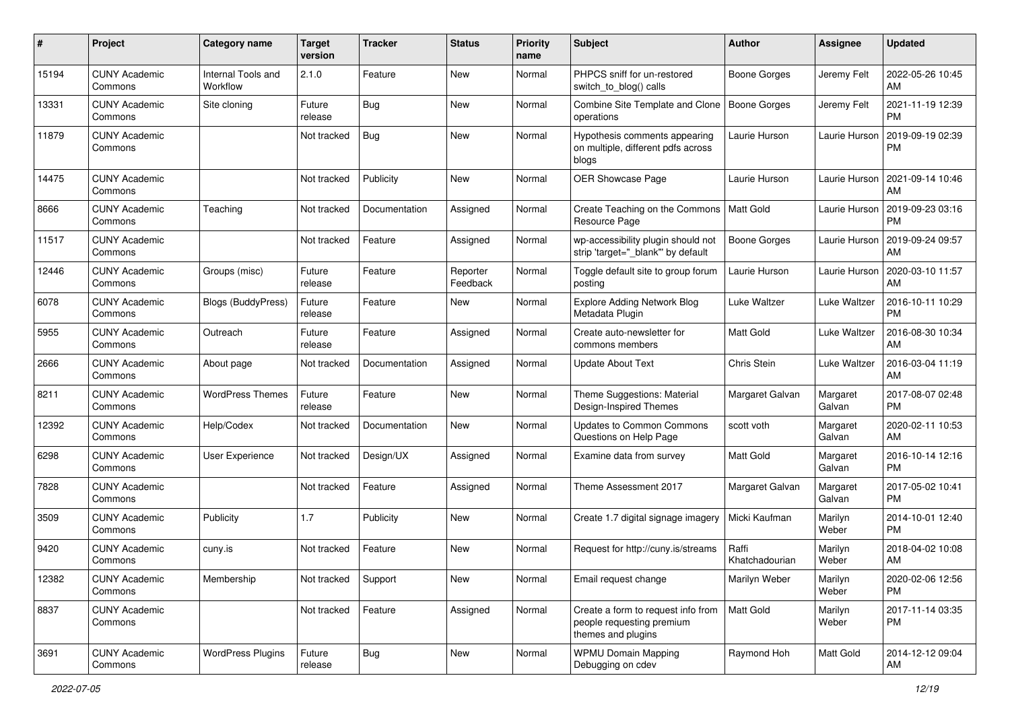| #     | Project                         | <b>Category name</b>           | <b>Target</b><br>version | <b>Tracker</b> | <b>Status</b>        | <b>Priority</b><br>name | <b>Subject</b>                                                                        | Author                  | Assignee           | <b>Updated</b>                |
|-------|---------------------------------|--------------------------------|--------------------------|----------------|----------------------|-------------------------|---------------------------------------------------------------------------------------|-------------------------|--------------------|-------------------------------|
| 15194 | <b>CUNY Academic</b><br>Commons | Internal Tools and<br>Workflow | 2.1.0                    | Feature        | New                  | Normal                  | PHPCS sniff for un-restored<br>switch to blog() calls                                 | Boone Gorges            | Jeremy Felt        | 2022-05-26 10:45<br>AM        |
| 13331 | <b>CUNY Academic</b><br>Commons | Site cloning                   | Future<br>release        | Bug            | New                  | Normal                  | Combine Site Template and Clone<br>operations                                         | Boone Gorges            | Jeremy Felt        | 2021-11-19 12:39<br><b>PM</b> |
| 11879 | <b>CUNY Academic</b><br>Commons |                                | Not tracked              | Bug            | New                  | Normal                  | Hypothesis comments appearing<br>on multiple, different pdfs across<br>blogs          | Laurie Hurson           | Laurie Hurson      | 2019-09-19 02:39<br><b>PM</b> |
| 14475 | <b>CUNY Academic</b><br>Commons |                                | Not tracked              | Publicity      | New                  | Normal                  | OER Showcase Page                                                                     | Laurie Hurson           | Laurie Hurson      | 2021-09-14 10:46<br>AM        |
| 8666  | <b>CUNY Academic</b><br>Commons | Teaching                       | Not tracked              | Documentation  | Assigned             | Normal                  | Create Teaching on the Commons<br>Resource Page                                       | Matt Gold               | Laurie Hurson      | 2019-09-23 03:16<br><b>PM</b> |
| 11517 | <b>CUNY Academic</b><br>Commons |                                | Not tracked              | Feature        | Assigned             | Normal                  | wp-accessibility plugin should not<br>strip 'target="_blank" by default               | Boone Gorges            | Laurie Hurson      | 2019-09-24 09:57<br>AM        |
| 12446 | <b>CUNY Academic</b><br>Commons | Groups (misc)                  | Future<br>release        | Feature        | Reporter<br>Feedback | Normal                  | Toggle default site to group forum<br>posting                                         | Laurie Hurson           | Laurie Hurson      | 2020-03-10 11:57<br>AM        |
| 6078  | <b>CUNY Academic</b><br>Commons | <b>Blogs (BuddyPress)</b>      | Future<br>release        | Feature        | New                  | Normal                  | <b>Explore Adding Network Blog</b><br>Metadata Plugin                                 | Luke Waltzer            | Luke Waltzer       | 2016-10-11 10:29<br><b>PM</b> |
| 5955  | <b>CUNY Academic</b><br>Commons | Outreach                       | Future<br>release        | Feature        | Assigned             | Normal                  | Create auto-newsletter for<br>commons members                                         | <b>Matt Gold</b>        | Luke Waltzer       | 2016-08-30 10:34<br>AM        |
| 2666  | <b>CUNY Academic</b><br>Commons | About page                     | Not tracked              | Documentation  | Assigned             | Normal                  | <b>Update About Text</b>                                                              | Chris Stein             | Luke Waltzer       | 2016-03-04 11:19<br>AM        |
| 8211  | <b>CUNY Academic</b><br>Commons | <b>WordPress Themes</b>        | Future<br>release        | Feature        | New                  | Normal                  | Theme Suggestions: Material<br>Design-Inspired Themes                                 | Margaret Galvan         | Margaret<br>Galvan | 2017-08-07 02:48<br><b>PM</b> |
| 12392 | <b>CUNY Academic</b><br>Commons | Help/Codex                     | Not tracked              | Documentation  | New                  | Normal                  | Updates to Common Commons<br>Questions on Help Page                                   | scott voth              | Margaret<br>Galvan | 2020-02-11 10:53<br>AM        |
| 6298  | <b>CUNY Academic</b><br>Commons | User Experience                | Not tracked              | Design/UX      | Assigned             | Normal                  | Examine data from survey                                                              | <b>Matt Gold</b>        | Margaret<br>Galvan | 2016-10-14 12:16<br><b>PM</b> |
| 7828  | <b>CUNY Academic</b><br>Commons |                                | Not tracked              | Feature        | Assigned             | Normal                  | Theme Assessment 2017                                                                 | Margaret Galvan         | Margaret<br>Galvan | 2017-05-02 10:41<br><b>PM</b> |
| 3509  | <b>CUNY Academic</b><br>Commons | Publicity                      | 1.7                      | Publicity      | New                  | Normal                  | Create 1.7 digital signage imagery                                                    | Micki Kaufman           | Marilyn<br>Weber   | 2014-10-01 12:40<br><b>PM</b> |
| 9420  | <b>CUNY Academic</b><br>Commons | cuny.is                        | Not tracked              | Feature        | New                  | Normal                  | Request for http://cuny.is/streams                                                    | Raffi<br>Khatchadourian | Marilyn<br>Weber   | 2018-04-02 10:08<br>AM        |
| 12382 | <b>CUNY Academic</b><br>Commons | Membership                     | Not tracked              | Support        | New                  | Normal                  | Email request change                                                                  | Marilyn Weber           | Marilyn<br>Weber   | 2020-02-06 12:56<br><b>PM</b> |
| 8837  | <b>CUNY Academic</b><br>Commons |                                | Not tracked              | Feature        | Assigned             | Normal                  | Create a form to request info from<br>people requesting premium<br>themes and plugins | Matt Gold               | Marilyn<br>Weber   | 2017-11-14 03:35<br>PM        |
| 3691  | <b>CUNY Academic</b><br>Commons | <b>WordPress Plugins</b>       | Future<br>release        | <b>Bug</b>     | New                  | Normal                  | <b>WPMU Domain Mapping</b><br>Debugging on cdev                                       | Raymond Hoh             | Matt Gold          | 2014-12-12 09:04<br>AM        |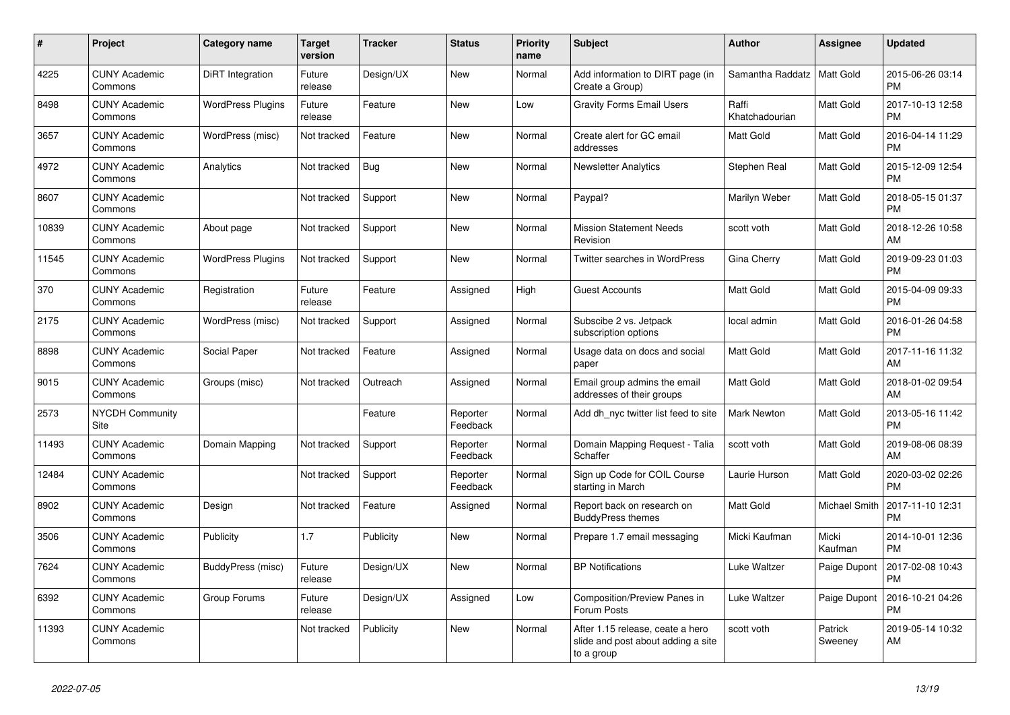| #     | <b>Project</b>                  | Category name            | <b>Target</b><br>version | <b>Tracker</b> | <b>Status</b>        | Priority<br>name | <b>Subject</b>                                                                       | <b>Author</b>           | Assignee           | <b>Updated</b>                |
|-------|---------------------------------|--------------------------|--------------------------|----------------|----------------------|------------------|--------------------------------------------------------------------------------------|-------------------------|--------------------|-------------------------------|
| 4225  | <b>CUNY Academic</b><br>Commons | DiRT Integration         | Future<br>release        | Design/UX      | <b>New</b>           | Normal           | Add information to DIRT page (in<br>Create a Group)                                  | Samantha Raddatz        | <b>Matt Gold</b>   | 2015-06-26 03:14<br><b>PM</b> |
| 8498  | <b>CUNY Academic</b><br>Commons | <b>WordPress Plugins</b> | Future<br>release        | Feature        | <b>New</b>           | Low              | <b>Gravity Forms Email Users</b>                                                     | Raffi<br>Khatchadourian | Matt Gold          | 2017-10-13 12:58<br><b>PM</b> |
| 3657  | <b>CUNY Academic</b><br>Commons | WordPress (misc)         | Not tracked              | Feature        | <b>New</b>           | Normal           | Create alert for GC email<br>addresses                                               | <b>Matt Gold</b>        | Matt Gold          | 2016-04-14 11:29<br><b>PM</b> |
| 4972  | <b>CUNY Academic</b><br>Commons | Analytics                | Not tracked              | <b>Bug</b>     | <b>New</b>           | Normal           | <b>Newsletter Analytics</b>                                                          | Stephen Real            | Matt Gold          | 2015-12-09 12:54<br><b>PM</b> |
| 8607  | <b>CUNY Academic</b><br>Commons |                          | Not tracked              | Support        | <b>New</b>           | Normal           | Paypal?                                                                              | Marilyn Weber           | Matt Gold          | 2018-05-15 01:37<br><b>PM</b> |
| 10839 | <b>CUNY Academic</b><br>Commons | About page               | Not tracked              | Support        | New                  | Normal           | <b>Mission Statement Needs</b><br>Revision                                           | scott voth              | Matt Gold          | 2018-12-26 10:58<br>AM        |
| 11545 | <b>CUNY Academic</b><br>Commons | <b>WordPress Plugins</b> | Not tracked              | Support        | <b>New</b>           | Normal           | <b>Twitter searches in WordPress</b>                                                 | Gina Cherry             | Matt Gold          | 2019-09-23 01:03<br><b>PM</b> |
| 370   | <b>CUNY Academic</b><br>Commons | Registration             | Future<br>release        | Feature        | Assigned             | High             | <b>Guest Accounts</b>                                                                | Matt Gold               | Matt Gold          | 2015-04-09 09:33<br><b>PM</b> |
| 2175  | <b>CUNY Academic</b><br>Commons | WordPress (misc)         | Not tracked              | Support        | Assigned             | Normal           | Subscibe 2 vs. Jetpack<br>subscription options                                       | local admin             | Matt Gold          | 2016-01-26 04:58<br><b>PM</b> |
| 8898  | <b>CUNY Academic</b><br>Commons | Social Paper             | Not tracked              | Feature        | Assigned             | Normal           | Usage data on docs and social<br>paper                                               | <b>Matt Gold</b>        | Matt Gold          | 2017-11-16 11:32<br>AM        |
| 9015  | <b>CUNY Academic</b><br>Commons | Groups (misc)            | Not tracked              | Outreach       | Assigned             | Normal           | Email group admins the email<br>addresses of their groups                            | Matt Gold               | Matt Gold          | 2018-01-02 09:54<br>AM        |
| 2573  | <b>NYCDH Community</b><br>Site  |                          |                          | Feature        | Reporter<br>Feedback | Normal           | Add dh nyc twitter list feed to site                                                 | Mark Newton             | Matt Gold          | 2013-05-16 11:42<br><b>PM</b> |
| 11493 | <b>CUNY Academic</b><br>Commons | Domain Mapping           | Not tracked              | Support        | Reporter<br>Feedback | Normal           | Domain Mapping Request - Talia<br>Schaffer                                           | scott voth              | Matt Gold          | 2019-08-06 08:39<br>AM        |
| 12484 | <b>CUNY Academic</b><br>Commons |                          | Not tracked              | Support        | Reporter<br>Feedback | Normal           | Sign up Code for COIL Course<br>starting in March                                    | Laurie Hurson           | Matt Gold          | 2020-03-02 02:26<br><b>PM</b> |
| 8902  | <b>CUNY Academic</b><br>Commons | Design                   | Not tracked              | Feature        | Assigned             | Normal           | Report back on research on<br><b>BuddyPress themes</b>                               | Matt Gold               | Michael Smith      | 2017-11-10 12:31<br><b>PM</b> |
| 3506  | <b>CUNY Academic</b><br>Commons | Publicity                | 1.7                      | Publicity      | <b>New</b>           | Normal           | Prepare 1.7 email messaging                                                          | Micki Kaufman           | Micki<br>Kaufman   | 2014-10-01 12:36<br><b>PM</b> |
| 7624  | <b>CUNY Academic</b><br>Commons | BuddyPress (misc)        | Future<br>release        | Design/UX      | <b>New</b>           | Normal           | <b>BP Notifications</b>                                                              | Luke Waltzer            | Paige Dupont       | 2017-02-08 10:43<br><b>PM</b> |
| 6392  | <b>CUNY Academic</b><br>Commons | Group Forums             | Future<br>release        | Design/UX      | Assigned             | Low              | Composition/Preview Panes in<br>Forum Posts                                          | Luke Waltzer            | Paige Dupont       | 2016-10-21 04:26<br><b>PM</b> |
| 11393 | <b>CUNY Academic</b><br>Commons |                          | Not tracked              | Publicity      | New                  | Normal           | After 1.15 release, ceate a hero<br>slide and post about adding a site<br>to a group | scott voth              | Patrick<br>Sweeney | 2019-05-14 10:32<br>AM        |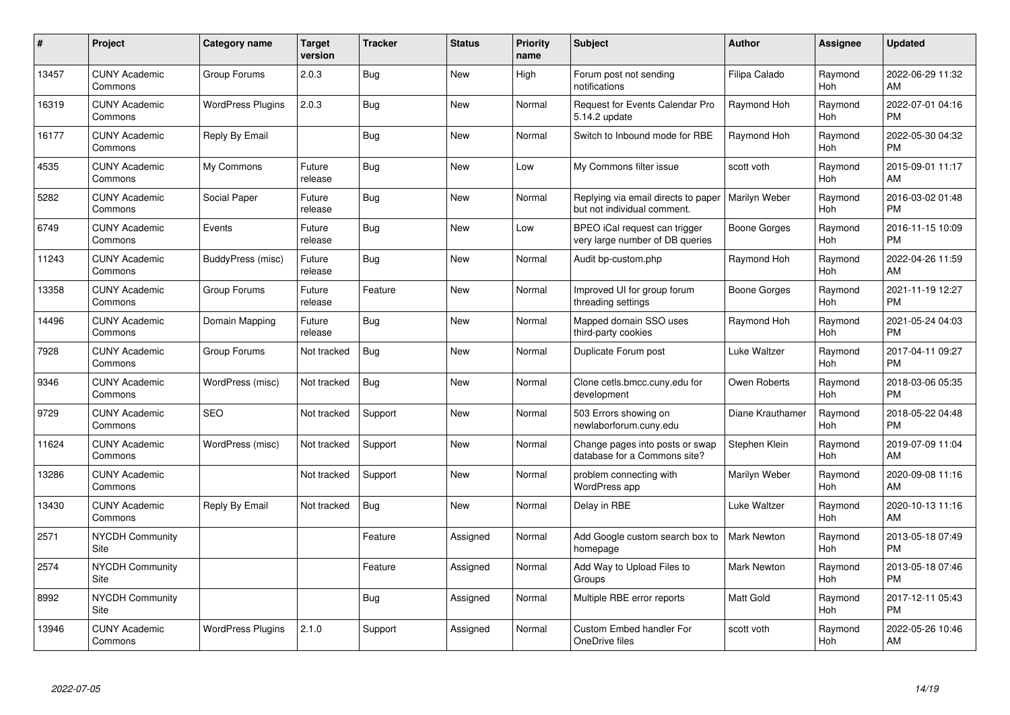| $\pmb{\#}$ | Project                               | <b>Category name</b>     | <b>Target</b><br>version | <b>Tracker</b> | <b>Status</b> | Priority<br>name | <b>Subject</b>                                                     | <b>Author</b>      | <b>Assignee</b>       | <b>Updated</b>                |
|------------|---------------------------------------|--------------------------|--------------------------|----------------|---------------|------------------|--------------------------------------------------------------------|--------------------|-----------------------|-------------------------------|
| 13457      | <b>CUNY Academic</b><br>Commons       | Group Forums             | 2.0.3                    | Bug            | <b>New</b>    | High             | Forum post not sending<br>notifications                            | Filipa Calado      | Raymond<br>Hoh        | 2022-06-29 11:32<br>AM        |
| 16319      | <b>CUNY Academic</b><br>Commons       | <b>WordPress Plugins</b> | 2.0.3                    | Bug            | <b>New</b>    | Normal           | <b>Request for Events Calendar Pro</b><br>5.14.2 update            | Raymond Hoh        | Raymond<br>Hoh        | 2022-07-01 04:16<br><b>PM</b> |
| 16177      | <b>CUNY Academic</b><br>Commons       | Reply By Email           |                          | <b>Bug</b>     | <b>New</b>    | Normal           | Switch to Inbound mode for RBE                                     | Raymond Hoh        | Raymond<br>Hoh        | 2022-05-30 04:32<br><b>PM</b> |
| 4535       | <b>CUNY Academic</b><br>Commons       | My Commons               | Future<br>release        | Bug            | <b>New</b>    | Low              | My Commons filter issue                                            | scott voth         | Raymond<br>Hoh        | 2015-09-01 11:17<br>AM        |
| 5282       | <b>CUNY Academic</b><br>Commons       | Social Paper             | Future<br>release        | Bug            | <b>New</b>    | Normal           | Replying via email directs to paper<br>but not individual comment. | Marilyn Weber      | Raymond<br>Hoh        | 2016-03-02 01:48<br><b>PM</b> |
| 6749       | <b>CUNY Academic</b><br>Commons       | Events                   | Future<br>release        | Bug            | <b>New</b>    | Low              | BPEO iCal request can trigger<br>very large number of DB queries   | Boone Gorges       | Raymond<br>Hoh        | 2016-11-15 10:09<br><b>PM</b> |
| 11243      | <b>CUNY Academic</b><br>Commons       | BuddyPress (misc)        | Future<br>release        | Bug            | <b>New</b>    | Normal           | Audit bp-custom.php                                                | Raymond Hoh        | Raymond<br>Hoh        | 2022-04-26 11:59<br>AM        |
| 13358      | <b>CUNY Academic</b><br>Commons       | Group Forums             | Future<br>release        | Feature        | <b>New</b>    | Normal           | Improved UI for group forum<br>threading settings                  | Boone Gorges       | Raymond<br><b>Hoh</b> | 2021-11-19 12:27<br><b>PM</b> |
| 14496      | <b>CUNY Academic</b><br>Commons       | Domain Mapping           | Future<br>release        | <b>Bug</b>     | New           | Normal           | Mapped domain SSO uses<br>third-party cookies                      | Raymond Hoh        | Raymond<br>Hoh        | 2021-05-24 04:03<br><b>PM</b> |
| 7928       | <b>CUNY Academic</b><br>Commons       | Group Forums             | Not tracked              | Bug            | <b>New</b>    | Normal           | Duplicate Forum post                                               | Luke Waltzer       | Raymond<br>Hoh        | 2017-04-11 09:27<br><b>PM</b> |
| 9346       | <b>CUNY Academic</b><br>Commons       | WordPress (misc)         | Not tracked              | Bug            | <b>New</b>    | Normal           | Clone cetls.bmcc.cuny.edu for<br>development                       | Owen Roberts       | Raymond<br>Hoh        | 2018-03-06 05:35<br><b>PM</b> |
| 9729       | <b>CUNY Academic</b><br>Commons       | <b>SEO</b>               | Not tracked              | Support        | <b>New</b>    | Normal           | 503 Errors showing on<br>newlaborforum.cuny.edu                    | Diane Krauthamer   | Raymond<br>Hoh        | 2018-05-22 04:48<br><b>PM</b> |
| 11624      | <b>CUNY Academic</b><br>Commons       | WordPress (misc)         | Not tracked              | Support        | New           | Normal           | Change pages into posts or swap<br>database for a Commons site?    | Stephen Klein      | Raymond<br>Hoh        | 2019-07-09 11:04<br>AM        |
| 13286      | <b>CUNY Academic</b><br>Commons       |                          | Not tracked              | Support        | New           | Normal           | problem connecting with<br>WordPress app                           | Marilyn Weber      | Raymond<br>Hoh        | 2020-09-08 11:16<br>AM        |
| 13430      | <b>CUNY Academic</b><br>Commons       | Reply By Email           | Not tracked              | Bug            | <b>New</b>    | Normal           | Delay in RBE                                                       | Luke Waltzer       | Raymond<br>Hoh        | 2020-10-13 11:16<br>AM        |
| 2571       | <b>NYCDH Community</b><br><b>Site</b> |                          |                          | Feature        | Assigned      | Normal           | Add Google custom search box to<br>homepage                        | <b>Mark Newton</b> | Raymond<br>Hoh        | 2013-05-18 07:49<br><b>PM</b> |
| 2574       | <b>NYCDH Community</b><br>Site        |                          |                          | Feature        | Assigned      | Normal           | Add Way to Upload Files to<br>Groups                               | Mark Newton        | Raymond<br>Hoh        | 2013-05-18 07:46<br><b>PM</b> |
| 8992       | <b>NYCDH Community</b><br>Site        |                          |                          | Bug            | Assigned      | Normal           | Multiple RBE error reports                                         | Matt Gold          | Raymond<br>Hoh        | 2017-12-11 05:43<br><b>PM</b> |
| 13946      | <b>CUNY Academic</b><br>Commons       | <b>WordPress Plugins</b> | 2.1.0                    | Support        | Assigned      | Normal           | <b>Custom Embed handler For</b><br>OneDrive files                  | scott voth         | Raymond<br>Hoh        | 2022-05-26 10:46<br>AM        |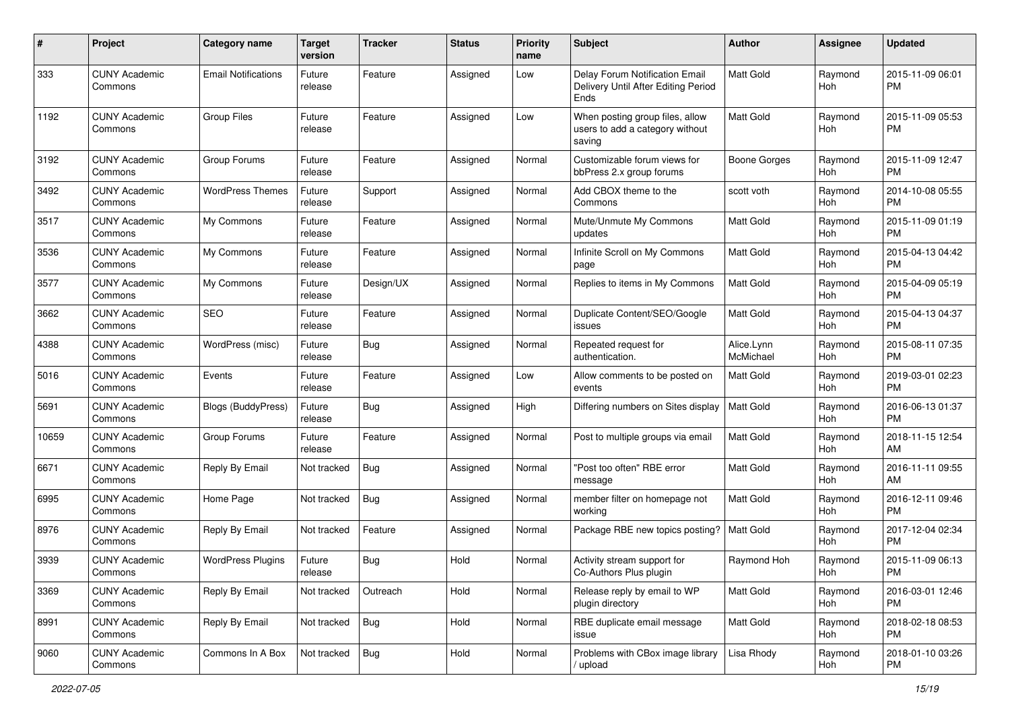| #     | Project                         | <b>Category name</b>       | <b>Target</b><br>version | Tracker    | <b>Status</b> | <b>Priority</b><br>name | Subject                                                                       | Author                  | Assignee       | <b>Updated</b>                |
|-------|---------------------------------|----------------------------|--------------------------|------------|---------------|-------------------------|-------------------------------------------------------------------------------|-------------------------|----------------|-------------------------------|
| 333   | <b>CUNY Academic</b><br>Commons | <b>Email Notifications</b> | Future<br>release        | Feature    | Assigned      | Low                     | Delay Forum Notification Email<br>Delivery Until After Editing Period<br>Ends | <b>Matt Gold</b>        | Raymond<br>Hoh | 2015-11-09 06:01<br><b>PM</b> |
| 1192  | <b>CUNY Academic</b><br>Commons | <b>Group Files</b>         | Future<br>release        | Feature    | Assigned      | Low                     | When posting group files, allow<br>users to add a category without<br>saving  | <b>Matt Gold</b>        | Raymond<br>Hoh | 2015-11-09 05:53<br><b>PM</b> |
| 3192  | <b>CUNY Academic</b><br>Commons | Group Forums               | Future<br>release        | Feature    | Assigned      | Normal                  | Customizable forum views for<br>bbPress 2.x group forums                      | <b>Boone Gorges</b>     | Raymond<br>Hoh | 2015-11-09 12:47<br><b>PM</b> |
| 3492  | <b>CUNY Academic</b><br>Commons | <b>WordPress Themes</b>    | Future<br>release        | Support    | Assigned      | Normal                  | Add CBOX theme to the<br>Commons                                              | scott voth              | Raymond<br>Hoh | 2014-10-08 05:55<br><b>PM</b> |
| 3517  | <b>CUNY Academic</b><br>Commons | My Commons                 | Future<br>release        | Feature    | Assigned      | Normal                  | Mute/Unmute My Commons<br>updates                                             | Matt Gold               | Raymond<br>Hoh | 2015-11-09 01:19<br><b>PM</b> |
| 3536  | <b>CUNY Academic</b><br>Commons | My Commons                 | Future<br>release        | Feature    | Assigned      | Normal                  | Infinite Scroll on My Commons<br>page                                         | <b>Matt Gold</b>        | Raymond<br>Hoh | 2015-04-13 04:42<br><b>PM</b> |
| 3577  | <b>CUNY Academic</b><br>Commons | My Commons                 | Future<br>release        | Design/UX  | Assigned      | Normal                  | Replies to items in My Commons                                                | Matt Gold               | Raymond<br>Hoh | 2015-04-09 05:19<br><b>PM</b> |
| 3662  | <b>CUNY Academic</b><br>Commons | <b>SEO</b>                 | Future<br>release        | Feature    | Assigned      | Normal                  | Duplicate Content/SEO/Google<br>issues                                        | Matt Gold               | Raymond<br>Hoh | 2015-04-13 04:37<br><b>PM</b> |
| 4388  | <b>CUNY Academic</b><br>Commons | WordPress (misc)           | Future<br>release        | Bug        | Assigned      | Normal                  | Repeated request for<br>authentication.                                       | Alice.Lynn<br>McMichael | Raymond<br>Hoh | 2015-08-11 07:35<br><b>PM</b> |
| 5016  | <b>CUNY Academic</b><br>Commons | Events                     | Future<br>release        | Feature    | Assigned      | Low                     | Allow comments to be posted on<br>events                                      | <b>Matt Gold</b>        | Raymond<br>Hoh | 2019-03-01 02:23<br><b>PM</b> |
| 5691  | <b>CUNY Academic</b><br>Commons | <b>Blogs (BuddyPress)</b>  | Future<br>release        | Bug        | Assigned      | High                    | Differing numbers on Sites display                                            | <b>Matt Gold</b>        | Raymond<br>Hoh | 2016-06-13 01:37<br><b>PM</b> |
| 10659 | <b>CUNY Academic</b><br>Commons | Group Forums               | Future<br>release        | Feature    | Assigned      | Normal                  | Post to multiple groups via email                                             | Matt Gold               | Raymond<br>Hoh | 2018-11-15 12:54<br>AM        |
| 6671  | <b>CUNY Academic</b><br>Commons | Reply By Email             | Not tracked              | Bug        | Assigned      | Normal                  | "Post too often" RBE error<br>message                                         | <b>Matt Gold</b>        | Raymond<br>Hoh | 2016-11-11 09:55<br>AM        |
| 6995  | <b>CUNY Academic</b><br>Commons | Home Page                  | Not tracked              | Bug        | Assigned      | Normal                  | member filter on homepage not<br>working                                      | Matt Gold               | Raymond<br>Hoh | 2016-12-11 09:46<br><b>PM</b> |
| 8976  | <b>CUNY Academic</b><br>Commons | Reply By Email             | Not tracked              | Feature    | Assigned      | Normal                  | Package RBE new topics posting?   Matt Gold                                   |                         | Raymond<br>Hoh | 2017-12-04 02:34<br><b>PM</b> |
| 3939  | <b>CUNY Academic</b><br>Commons | <b>WordPress Plugins</b>   | Future<br>release        | Bug        | Hold          | Normal                  | Activity stream support for<br>Co-Authors Plus plugin                         | Raymond Hoh             | Raymond<br>Hoh | 2015-11-09 06:13<br>PM        |
| 3369  | <b>CUNY Academic</b><br>Commons | Reply By Email             | Not tracked              | Outreach   | Hold          | Normal                  | Release reply by email to WP<br>plugin directory                              | Matt Gold               | Raymond<br>Hoh | 2016-03-01 12:46<br><b>PM</b> |
| 8991  | <b>CUNY Academic</b><br>Commons | Reply By Email             | Not tracked              | Bug        | Hold          | Normal                  | RBE duplicate email message<br>issue                                          | Matt Gold               | Raymond<br>Hoh | 2018-02-18 08:53<br><b>PM</b> |
| 9060  | <b>CUNY Academic</b><br>Commons | Commons In A Box           | Not tracked              | <b>Bug</b> | Hold          | Normal                  | Problems with CBox image library<br>/ upload                                  | Lisa Rhody              | Raymond<br>Hoh | 2018-01-10 03:26<br><b>PM</b> |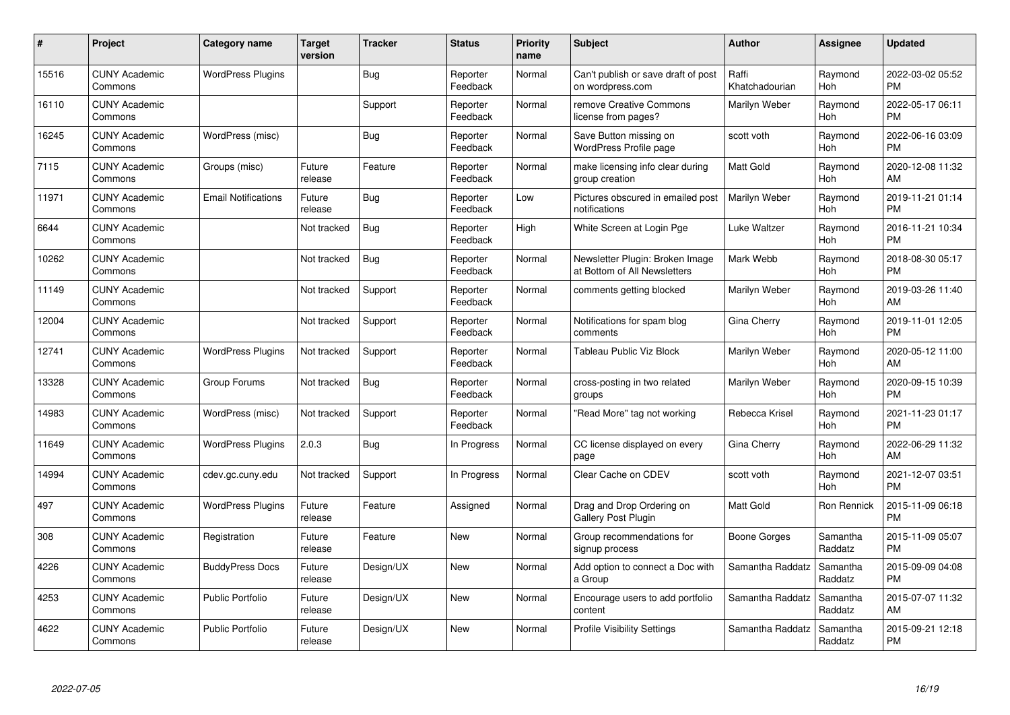| #     | Project                         | <b>Category name</b>       | <b>Target</b><br>version | <b>Tracker</b> | <b>Status</b>        | Priority<br>name | <b>Subject</b>                                                  | <b>Author</b>           | <b>Assignee</b>     | <b>Updated</b>                |
|-------|---------------------------------|----------------------------|--------------------------|----------------|----------------------|------------------|-----------------------------------------------------------------|-------------------------|---------------------|-------------------------------|
| 15516 | <b>CUNY Academic</b><br>Commons | <b>WordPress Plugins</b>   |                          | Bug            | Reporter<br>Feedback | Normal           | Can't publish or save draft of post<br>on wordpress.com         | Raffi<br>Khatchadourian | Raymond<br>Hoh      | 2022-03-02 05:52<br><b>PM</b> |
| 16110 | <b>CUNY Academic</b><br>Commons |                            |                          | Support        | Reporter<br>Feedback | Normal           | remove Creative Commons<br>license from pages?                  | Marilyn Weber           | Raymond<br>Hoh      | 2022-05-17 06:11<br><b>PM</b> |
| 16245 | <b>CUNY Academic</b><br>Commons | WordPress (misc)           |                          | <b>Bug</b>     | Reporter<br>Feedback | Normal           | Save Button missing on<br><b>WordPress Profile page</b>         | scott voth              | Raymond<br>Hoh      | 2022-06-16 03:09<br><b>PM</b> |
| 7115  | <b>CUNY Academic</b><br>Commons | Groups (misc)              | Future<br>release        | Feature        | Reporter<br>Feedback | Normal           | make licensing info clear during<br>group creation              | <b>Matt Gold</b>        | Raymond<br>Hoh      | 2020-12-08 11:32<br>AM        |
| 11971 | <b>CUNY Academic</b><br>Commons | <b>Email Notifications</b> | Future<br>release        | Bug            | Reporter<br>Feedback | Low              | Pictures obscured in emailed post<br>notifications              | Marilyn Weber           | Raymond<br>Hoh      | 2019-11-21 01:14<br><b>PM</b> |
| 6644  | <b>CUNY Academic</b><br>Commons |                            | Not tracked              | <b>Bug</b>     | Reporter<br>Feedback | High             | White Screen at Login Pge                                       | Luke Waltzer            | Raymond<br>Hoh      | 2016-11-21 10:34<br><b>PM</b> |
| 10262 | <b>CUNY Academic</b><br>Commons |                            | Not tracked              | Bug            | Reporter<br>Feedback | Normal           | Newsletter Plugin: Broken Image<br>at Bottom of All Newsletters | Mark Webb               | Raymond<br>Hoh      | 2018-08-30 05:17<br><b>PM</b> |
| 11149 | <b>CUNY Academic</b><br>Commons |                            | Not tracked              | Support        | Reporter<br>Feedback | Normal           | comments getting blocked                                        | Marilyn Weber           | Raymond<br>Hoh      | 2019-03-26 11:40<br>AM        |
| 12004 | <b>CUNY Academic</b><br>Commons |                            | Not tracked              | Support        | Reporter<br>Feedback | Normal           | Notifications for spam blog<br>comments                         | Gina Cherry             | Raymond<br>Hoh      | 2019-11-01 12:05<br><b>PM</b> |
| 12741 | <b>CUNY Academic</b><br>Commons | <b>WordPress Plugins</b>   | Not tracked              | Support        | Reporter<br>Feedback | Normal           | <b>Tableau Public Viz Block</b>                                 | Marilyn Weber           | Raymond<br>Hoh      | 2020-05-12 11:00<br>AM        |
| 13328 | <b>CUNY Academic</b><br>Commons | Group Forums               | Not tracked              | Bug            | Reporter<br>Feedback | Normal           | cross-posting in two related<br>groups                          | Marilyn Weber           | Raymond<br>Hoh      | 2020-09-15 10:39<br><b>PM</b> |
| 14983 | <b>CUNY Academic</b><br>Commons | WordPress (misc)           | Not tracked              | Support        | Reporter<br>Feedback | Normal           | "Read More" tag not working                                     | Rebecca Krisel          | Raymond<br>Hoh      | 2021-11-23 01:17<br><b>PM</b> |
| 11649 | <b>CUNY Academic</b><br>Commons | <b>WordPress Plugins</b>   | 2.0.3                    | Bug            | In Progress          | Normal           | CC license displayed on every<br>page                           | Gina Cherry             | Raymond<br>Hoh      | 2022-06-29 11:32<br>AM        |
| 14994 | <b>CUNY Academic</b><br>Commons | cdev.gc.cuny.edu           | Not tracked              | Support        | In Progress          | Normal           | Clear Cache on CDEV                                             | scott voth              | Raymond<br>Hoh      | 2021-12-07 03:51<br><b>PM</b> |
| 497   | <b>CUNY Academic</b><br>Commons | <b>WordPress Plugins</b>   | Future<br>release        | Feature        | Assigned             | Normal           | Drag and Drop Ordering on<br><b>Gallery Post Plugin</b>         | <b>Matt Gold</b>        | Ron Rennick         | 2015-11-09 06:18<br><b>PM</b> |
| 308   | <b>CUNY Academic</b><br>Commons | Registration               | Future<br>release        | Feature        | New                  | Normal           | Group recommendations for<br>signup process                     | Boone Gorges            | Samantha<br>Raddatz | 2015-11-09 05:07<br><b>PM</b> |
| 4226  | <b>CUNY Academic</b><br>Commons | <b>BuddyPress Docs</b>     | Future<br>release        | Design/UX      | New                  | Normal           | Add option to connect a Doc with<br>a Group                     | Samantha Raddatz        | Samantha<br>Raddatz | 2015-09-09 04:08<br><b>PM</b> |
| 4253  | <b>CUNY Academic</b><br>Commons | <b>Public Portfolio</b>    | Future<br>release        | Design/UX      | <b>New</b>           | Normal           | Encourage users to add portfolio<br>content                     | Samantha Raddatz        | Samantha<br>Raddatz | 2015-07-07 11:32<br>AM        |
| 4622  | CUNY Academic<br>Commons        | <b>Public Portfolio</b>    | Future<br>release        | Design/UX      | <b>New</b>           | Normal           | <b>Profile Visibility Settings</b>                              | Samantha Raddatz        | Samantha<br>Raddatz | 2015-09-21 12:18<br><b>PM</b> |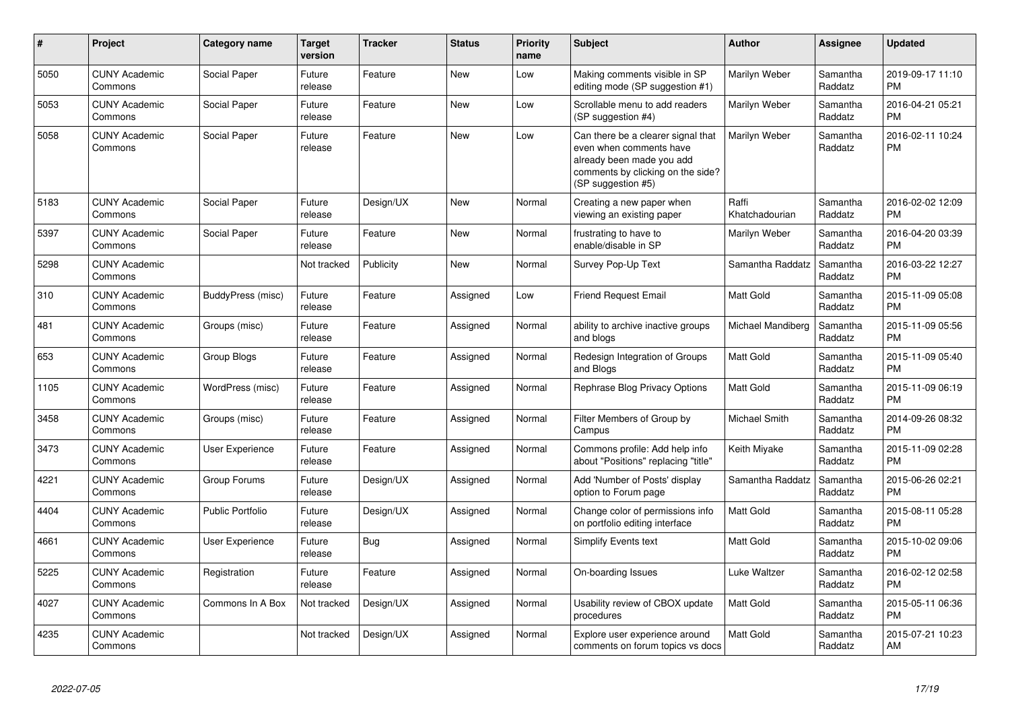| #    | Project                         | <b>Category name</b>    | <b>Target</b><br>version | <b>Tracker</b> | <b>Status</b> | <b>Priority</b><br>name | <b>Subject</b>                                                                                                                                        | <b>Author</b>           | <b>Assignee</b>     | <b>Updated</b>                |
|------|---------------------------------|-------------------------|--------------------------|----------------|---------------|-------------------------|-------------------------------------------------------------------------------------------------------------------------------------------------------|-------------------------|---------------------|-------------------------------|
| 5050 | <b>CUNY Academic</b><br>Commons | Social Paper            | Future<br>release        | Feature        | <b>New</b>    | Low                     | Making comments visible in SP<br>editing mode (SP suggestion #1)                                                                                      | Marilyn Weber           | Samantha<br>Raddatz | 2019-09-17 11:10<br><b>PM</b> |
| 5053 | <b>CUNY Academic</b><br>Commons | Social Paper            | Future<br>release        | Feature        | <b>New</b>    | Low                     | Scrollable menu to add readers<br>(SP suggestion #4)                                                                                                  | Marilyn Weber           | Samantha<br>Raddatz | 2016-04-21 05:21<br><b>PM</b> |
| 5058 | <b>CUNY Academic</b><br>Commons | Social Paper            | Future<br>release        | Feature        | New           | Low                     | Can there be a clearer signal that<br>even when comments have<br>already been made you add<br>comments by clicking on the side?<br>(SP suggestion #5) | Marilyn Weber           | Samantha<br>Raddatz | 2016-02-11 10:24<br><b>PM</b> |
| 5183 | <b>CUNY Academic</b><br>Commons | Social Paper            | Future<br>release        | Design/UX      | <b>New</b>    | Normal                  | Creating a new paper when<br>viewing an existing paper                                                                                                | Raffi<br>Khatchadourian | Samantha<br>Raddatz | 2016-02-02 12:09<br><b>PM</b> |
| 5397 | <b>CUNY Academic</b><br>Commons | Social Paper            | Future<br>release        | Feature        | New           | Normal                  | frustrating to have to<br>enable/disable in SP                                                                                                        | Marilyn Weber           | Samantha<br>Raddatz | 2016-04-20 03:39<br><b>PM</b> |
| 5298 | <b>CUNY Academic</b><br>Commons |                         | Not tracked              | Publicity      | New           | Normal                  | Survey Pop-Up Text                                                                                                                                    | Samantha Raddatz        | Samantha<br>Raddatz | 2016-03-22 12:27<br><b>PM</b> |
| 310  | <b>CUNY Academic</b><br>Commons | BuddyPress (misc)       | Future<br>release        | Feature        | Assigned      | Low                     | <b>Friend Request Email</b>                                                                                                                           | <b>Matt Gold</b>        | Samantha<br>Raddatz | 2015-11-09 05:08<br><b>PM</b> |
| 481  | <b>CUNY Academic</b><br>Commons | Groups (misc)           | Future<br>release        | Feature        | Assigned      | Normal                  | ability to archive inactive groups<br>and blogs                                                                                                       | Michael Mandiberg       | Samantha<br>Raddatz | 2015-11-09 05:56<br><b>PM</b> |
| 653  | <b>CUNY Academic</b><br>Commons | Group Blogs             | Future<br>release        | Feature        | Assigned      | Normal                  | Redesign Integration of Groups<br>and Blogs                                                                                                           | <b>Matt Gold</b>        | Samantha<br>Raddatz | 2015-11-09 05:40<br><b>PM</b> |
| 1105 | <b>CUNY Academic</b><br>Commons | WordPress (misc)        | Future<br>release        | Feature        | Assigned      | Normal                  | <b>Rephrase Blog Privacy Options</b>                                                                                                                  | Matt Gold               | Samantha<br>Raddatz | 2015-11-09 06:19<br><b>PM</b> |
| 3458 | <b>CUNY Academic</b><br>Commons | Groups (misc)           | Future<br>release        | Feature        | Assigned      | Normal                  | Filter Members of Group by<br>Campus                                                                                                                  | Michael Smith           | Samantha<br>Raddatz | 2014-09-26 08:32<br><b>PM</b> |
| 3473 | <b>CUNY Academic</b><br>Commons | User Experience         | Future<br>release        | Feature        | Assigned      | Normal                  | Commons profile: Add help info<br>about "Positions" replacing "title"                                                                                 | Keith Miyake            | Samantha<br>Raddatz | 2015-11-09 02:28<br><b>PM</b> |
| 4221 | <b>CUNY Academic</b><br>Commons | Group Forums            | Future<br>release        | Design/UX      | Assigned      | Normal                  | Add 'Number of Posts' display<br>option to Forum page                                                                                                 | Samantha Raddatz        | Samantha<br>Raddatz | 2015-06-26 02:21<br><b>PM</b> |
| 4404 | <b>CUNY Academic</b><br>Commons | <b>Public Portfolio</b> | Future<br>release        | Design/UX      | Assigned      | Normal                  | Change color of permissions info<br>on portfolio editing interface                                                                                    | <b>Matt Gold</b>        | Samantha<br>Raddatz | 2015-08-11 05:28<br><b>PM</b> |
| 4661 | <b>CUNY Academic</b><br>Commons | <b>User Experience</b>  | Future<br>release        | Bug            | Assigned      | Normal                  | <b>Simplify Events text</b>                                                                                                                           | Matt Gold               | Samantha<br>Raddatz | 2015-10-02 09:06<br><b>PM</b> |
| 5225 | <b>CUNY Academic</b><br>Commons | Registration            | Future<br>release        | Feature        | Assigned      | Normal                  | On-boarding Issues                                                                                                                                    | Luke Waltzer            | Samantha<br>Raddatz | 2016-02-12 02:58<br><b>PM</b> |
| 4027 | <b>CUNY Academic</b><br>Commons | Commons In A Box        | Not tracked              | Design/UX      | Assigned      | Normal                  | Usability review of CBOX update<br>procedures                                                                                                         | <b>Matt Gold</b>        | Samantha<br>Raddatz | 2015-05-11 06:36<br><b>PM</b> |
| 4235 | <b>CUNY Academic</b><br>Commons |                         | Not tracked              | Design/UX      | Assigned      | Normal                  | Explore user experience around<br>comments on forum topics vs docs                                                                                    | <b>Matt Gold</b>        | Samantha<br>Raddatz | 2015-07-21 10:23<br>AM        |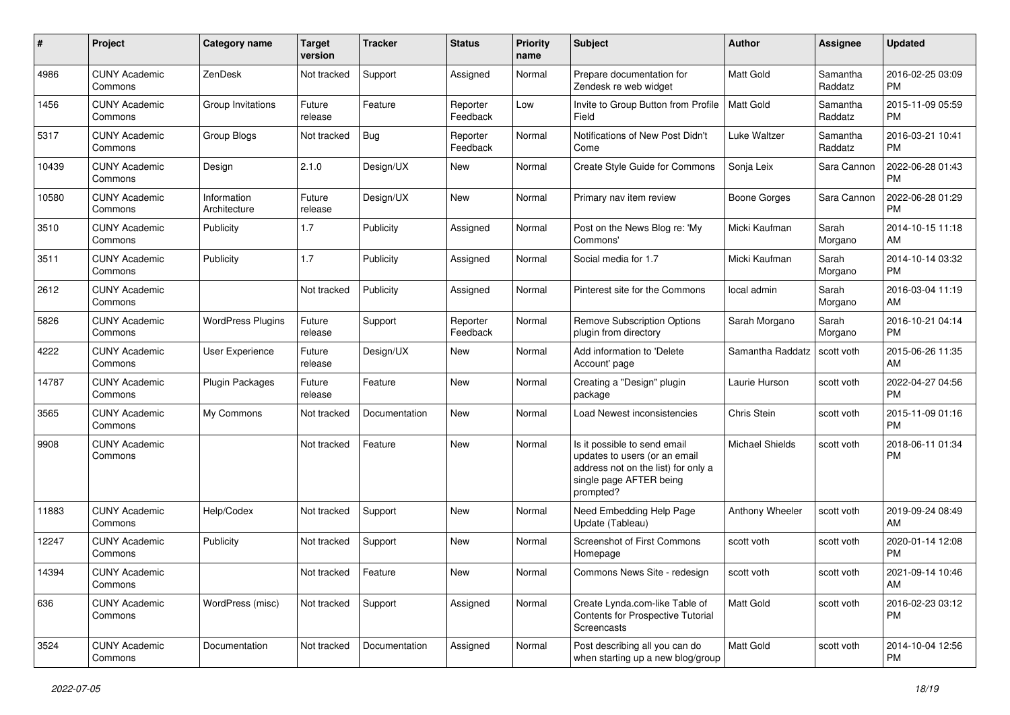| #     | Project                         | <b>Category name</b>        | <b>Target</b><br>version | <b>Tracker</b> | <b>Status</b>        | <b>Priority</b><br>name | <b>Subject</b>                                                                                                                               | Author                 | Assignee            | <b>Updated</b>                |
|-------|---------------------------------|-----------------------------|--------------------------|----------------|----------------------|-------------------------|----------------------------------------------------------------------------------------------------------------------------------------------|------------------------|---------------------|-------------------------------|
| 4986  | <b>CUNY Academic</b><br>Commons | ZenDesk                     | Not tracked              | Support        | Assigned             | Normal                  | Prepare documentation for<br>Zendesk re web widget                                                                                           | <b>Matt Gold</b>       | Samantha<br>Raddatz | 2016-02-25 03:09<br><b>PM</b> |
| 1456  | <b>CUNY Academic</b><br>Commons | Group Invitations           | Future<br>release        | Feature        | Reporter<br>Feedback | Low                     | Invite to Group Button from Profile<br>Field                                                                                                 | <b>Matt Gold</b>       | Samantha<br>Raddatz | 2015-11-09 05:59<br><b>PM</b> |
| 5317  | <b>CUNY Academic</b><br>Commons | Group Blogs                 | Not tracked              | Bug            | Reporter<br>Feedback | Normal                  | Notifications of New Post Didn't<br>Come                                                                                                     | Luke Waltzer           | Samantha<br>Raddatz | 2016-03-21 10:41<br><b>PM</b> |
| 10439 | <b>CUNY Academic</b><br>Commons | Design                      | 2.1.0                    | Design/UX      | New                  | Normal                  | Create Style Guide for Commons                                                                                                               | Sonja Leix             | Sara Cannon         | 2022-06-28 01:43<br><b>PM</b> |
| 10580 | <b>CUNY Academic</b><br>Commons | Information<br>Architecture | Future<br>release        | Design/UX      | New                  | Normal                  | Primary nav item review                                                                                                                      | Boone Gorges           | Sara Cannon         | 2022-06-28 01:29<br><b>PM</b> |
| 3510  | <b>CUNY Academic</b><br>Commons | Publicity                   | 1.7                      | Publicity      | Assigned             | Normal                  | Post on the News Blog re: 'My<br>Commons'                                                                                                    | Micki Kaufman          | Sarah<br>Morgano    | 2014-10-15 11:18<br>AM        |
| 3511  | <b>CUNY Academic</b><br>Commons | Publicity                   | 1.7                      | Publicity      | Assigned             | Normal                  | Social media for 1.7                                                                                                                         | Micki Kaufman          | Sarah<br>Morgano    | 2014-10-14 03:32<br><b>PM</b> |
| 2612  | <b>CUNY Academic</b><br>Commons |                             | Not tracked              | Publicity      | Assigned             | Normal                  | Pinterest site for the Commons                                                                                                               | local admin            | Sarah<br>Morgano    | 2016-03-04 11:19<br>AM        |
| 5826  | <b>CUNY Academic</b><br>Commons | <b>WordPress Plugins</b>    | Future<br>release        | Support        | Reporter<br>Feedback | Normal                  | Remove Subscription Options<br>plugin from directory                                                                                         | Sarah Morgano          | Sarah<br>Morgano    | 2016-10-21 04:14<br><b>PM</b> |
| 4222  | <b>CUNY Academic</b><br>Commons | <b>User Experience</b>      | Future<br>release        | Design/UX      | New                  | Normal                  | Add information to 'Delete<br>Account' page                                                                                                  | Samantha Raddatz       | scott voth          | 2015-06-26 11:35<br>AM        |
| 14787 | <b>CUNY Academic</b><br>Commons | Plugin Packages             | Future<br>release        | Feature        | <b>New</b>           | Normal                  | Creating a "Design" plugin<br>package                                                                                                        | Laurie Hurson          | scott voth          | 2022-04-27 04:56<br><b>PM</b> |
| 3565  | <b>CUNY Academic</b><br>Commons | My Commons                  | Not tracked              | Documentation  | New                  | Normal                  | Load Newest inconsistencies                                                                                                                  | Chris Stein            | scott voth          | 2015-11-09 01:16<br><b>PM</b> |
| 9908  | <b>CUNY Academic</b><br>Commons |                             | Not tracked              | Feature        | New                  | Normal                  | Is it possible to send email<br>updates to users (or an email<br>address not on the list) for only a<br>single page AFTER being<br>prompted? | <b>Michael Shields</b> | scott voth          | 2018-06-11 01:34<br><b>PM</b> |
| 11883 | <b>CUNY Academic</b><br>Commons | Help/Codex                  | Not tracked              | Support        | New                  | Normal                  | Need Embedding Help Page<br>Update (Tableau)                                                                                                 | Anthony Wheeler        | scott voth          | 2019-09-24 08:49<br>AM        |
| 12247 | <b>CUNY Academic</b><br>Commons | Publicity                   | Not tracked              | Support        | <b>New</b>           | Normal                  | Screenshot of First Commons<br>Homepage                                                                                                      | scott voth             | scott voth          | 2020-01-14 12:08<br><b>PM</b> |
| 14394 | <b>CUNY Academic</b><br>Commons |                             | Not tracked   Feature    |                | New                  | Normal                  | Commons News Site - redesign                                                                                                                 | scott voth             | scott voth          | 2021-09-14 10:46<br>AM        |
| 636   | <b>CUNY Academic</b><br>Commons | WordPress (misc)            | Not tracked              | Support        | Assigned             | Normal                  | Create Lynda.com-like Table of<br>Contents for Prospective Tutorial<br>Screencasts                                                           | Matt Gold              | scott voth          | 2016-02-23 03:12<br><b>PM</b> |
| 3524  | <b>CUNY Academic</b><br>Commons | Documentation               | Not tracked              | Documentation  | Assigned             | Normal                  | Post describing all you can do<br>when starting up a new blog/group                                                                          | Matt Gold              | scott voth          | 2014-10-04 12:56<br><b>PM</b> |